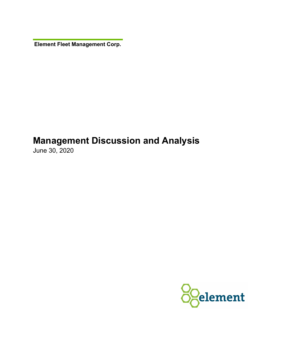**Element Fleet Management Corp.** 

# **Management Discussion and Analysis**

June 30, 2020

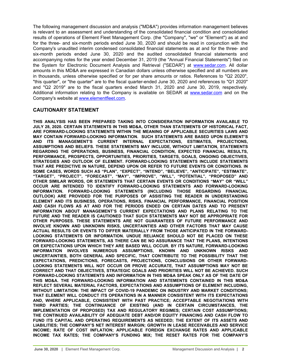The following management discussion and analysis ("MD&A") provides information management believes is relevant to an assessment and understanding of the consolidated financial condition and consolidated results of operations of Element Fleet Management Corp. (the "Company", "we" or "Element") as at and for the three- and six-month periods ended June 30, 2020 and should be read in conjunction with the Company's unaudited interim condensed consolidated financial statements as at and for the three- and six-month periods ended June 30, 2020 and the audited consolidated financial statements and accompanying notes for the year ended December 31, 2019 (the "Annual Financial Statements") filed on the System for Electronic Document Analysis and Retrieval ("SEDAR") at [www.sedar.com.](http://www.sedar.com) All dollar amounts in this MD&A are expressed in Canadian dollars unless otherwise specified and all numbers are in thousands, unless otherwise specified or for per share amounts or ratios. References to "Q2 2020", "this quarter", or "the quarter" are to the fiscal quarter-ended June 30, 2020 and references to "Q1 2020" and "Q2 2019" are to the fiscal quarters ended March 31, 2020 and June 30, 2019, respectively. Additional information relating to the Company is available on SEDAR at [www.sedar.com](http://www.sedar.com) and on the Company's website at [www.elementfleet.com.](http://www.elementfleet.com)

## **CAUTIONARY STATEMENT**

**THIS ANALYSIS HAS BEEN PREPARED TAKING INTO CONSIDERATION INFORMATION AVAILABLE TO JULY 28, 2020. CERTAIN STATEMENTS IN THIS MD&A, OTHER THAN STATEMENTS OF HISTORICAL FACT, ARE FORWARD-LOOKING STATEMENTS WITHIN THE MEANING OF APPLICABLE SECURITIES LAWS AND MAY CONTAIN FORWARD-LOOKING INFORMATION. SUCH STATEMENTS ARE BASED UPON ELEMENT'S AND ITS MANAGEMENT'S CURRENT INTERNAL EXPECTATIONS, ESTIMATES, PROJECTIONS, ASSUMPTIONS AND BELIEFS. THESE STATEMENTS MAY INCLUDE, WITHOUT LIMITATION, STATEMENTS REGARDING THE OPERATIONS, BUSINESS, FINANCIAL CONDITION, EXPECTED FINANCIAL RESULTS, PERFORMANCE, PROSPECTS, OPPORTUNITIES, PRIORITIES, TARGETS, GOALS, ONGOING OBJECTIVES, STRATEGIES AND OUTLOOK OF ELEMENT. FORWARD-LOOKING STATEMENTS INCLUDE STATEMENTS THAT ARE PREDICTIVE IN NATURE, DEPEND UPON OR REFER TO FUTURE EVENTS OR CONDITIONS. IN SOME CASES, WORDS SUCH AS "PLAN", "EXPECT", "INTEND", "BELIEVE", "ANTICIPATE", "ESTIMATE", "TARGET", "PROJECT", "FORECAST", "MAY", "IMPROVE", "WILL", "POTENTIAL", "PROPOSED" AND OTHER SIMILAR WORDS, OR STATEMENTS THAT CERTAIN EVENTS OR CONDITIONS "MAY" OR "WILL" OCCUR ARE INTENDED TO IDENTIFY FORWARD-LOOKING STATEMENTS AND FORWARD-LOOKING INFORMATION. FORWARD-LOOKING STATEMENTS (INCLUDING THOSE REGARDING FINANCIAL OUTLOOK) ARE PROVIDED FOR THE PURPOSES OF ASSISTING THE READER IN UNDERSTANDING ELEMENT AND ITS BUSINESS, OPERATIONS, RISKS, FINANCIAL PERFORMANCE, FINANCIAL POSITION AND CASH FLOWS AS AT AND FOR THE PERIODS ENDED ON CERTAIN DATES AND TO PRESENT INFORMATION ABOUT MANAGEMENT'S CURRENT EXPECTATIONS AND PLANS RELATING TO THE FUTURE AND THE READER IS CAUTIONED THAT SUCH STATEMENTS MAY NOT BE APPROPRIATE FOR OTHER PURPOSES. THESE STATEMENTS ARE NOT GUARANTEES OF FUTURE PERFORMANCE AND INVOLVE KNOWN AND UNKNOWN RISKS, UNCERTAINTIES AND OTHER FACTORS THAT MAY CAUSE ACTUAL RESULTS OR EVENTS TO DIFFER MATERIALLY FROM THOSE ANTICIPATED IN THE FORWARD-LOOKING STATEMENTS OR INFORMATION. UNDUE RELIANCE SHOULD NOT BE PLACED ON THESE FORWARD-LOOKING STATEMENTS, AS THERE CAN BE NO ASSURANCE THAT THE PLANS, INTENTIONS OR EXPECTATIONS UPON WHICH THEY ARE BASED WILL OCCUR. BY ITS NATURE, FORWARD-LOOKING INFORMATION INVOLVES NUMEROUS ASSUMPTIONS, KNOWN AND UNKNOWN RISKS AND UNCERTAINTIES, BOTH GENERAL AND SPECIFIC, THAT CONTRIBUTE TO THE POSSIBILITY THAT THE EXPECTATIONS, PREDICTIONS, FORECASTS, PROJECTIONS, CONCLUSIONS OR OTHER FORWARD-LOOKING STATEMENTS WILL NOT OCCUR OR PROVE ACCURATE, THAT ASSUMPTIONS MAY NOT BE CORRECT AND THAT OBJECTIVES, STRATEGIC GOALS AND PRIORITIES WILL NOT BE ACHIEVED. SUCH FORWARD-LOOKING STATEMENTS AND INFORMATION IN THIS MD&A SPEAK ONLY AS OF THE DATE OF THIS MD&A. THE FORWARD-LOOKING INFORMATION AND STATEMENTS CONTAINED IN THIS MD&A REFLECT SEVERAL MATERIAL FACTORS, EXPECTATIONS AND ASSUMPTIONS OF ELEMENT INCLUDING, WITHOUT LIMITATION: THE IMPACT OF COVID-19 PANDEMIC ON INDUSTRY AND MARKET CONDITIONS; THAT ELEMENT WILL CONDUCT ITS OPERATIONS IN A MANNER CONSISTENT WITH ITS EXPECTATIONS AND, WHERE APPLICABLE, CONSISTENT WITH PAST PRACTICE; ACCEPTABLE NEGOTIATIONS WITH THIRD PARTIES; THE CONTINUANCE OF EXISTING (AND IN CERTAIN CIRCUMSTANCES, THE IMPLEMENTATION OF PROPOSED) TAX AND REGULATORY REGIMES; CERTAIN COST ASSUMPTIONS; THE CONTINUED AVAILABILITY OF ADEQUATE DEBT AND/OR EQUITY FINANCING AND CASH FLOW TO FUND ITS CAPITAL AND OPERATING REQUIREMENTS AS NEEDED; THE EXTENT OF ITS ASSETS AND LIABILITIES; THE COMPANY'S NET INTEREST MARGIN; GROWTH IN LEASE RECEIVABLES AND SERVICE INCOME; RATE OF COST INFLATION; APPLICABLE FOREIGN EXCHANGE RATES AND APPLICABLE INCOME TAX RATES; THE COMPANY'S FUNDING MIX; THE RESET RATES FOR THE COMPANY'S**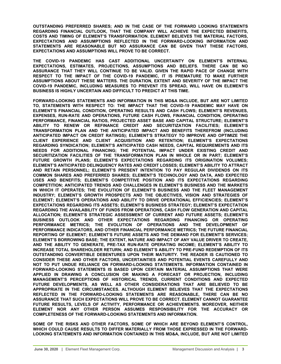**OUTSTANDING PREFERRED SHARES; AND IN THE CASE OF THE FORWARD LOOKING STATEMENTS REGARDING FINANCIAL OUTLOOK, THAT THE COMPANY WILL ACHIEVE THE EXPECTED BENEFITS, COSTS AND TIMING OF ELEMENT'S TRANSFORMATION. ELEMENT BELIEVES THE MATERIAL FACTORS, EXPECTATIONS AND ASSUMPTIONS REFLECTED IN THE FORWARD-LOOKING INFORMATION AND STATEMENTS ARE REASONABLE BUT NO ASSURANCE CAN BE GIVEN THAT THESE FACTORS, EXPECTATIONS AND ASSUMPTIONS WILL PROVE TO BE CORRECT.**

**THE COVID-19 PANDEMIC HAS CAST ADDITIONAL UNCERTAINTY ON ELEMENT'S INTERNAL EXPECTATIONS, ESTIMATES, PROJECTIONS, ASSUMPTIONS AND BELIEFS. THERE CAN BE NO ASSURANCE THAT THEY WILL CONTINUE TO BE VALID. GIVEN THE RAPID PACE OF CHANGE WITH RESPECT TO THE IMPACT OF THE COVID-19 PANDEMIC, IT IS PREMATURE TO MAKE FURTHER ASSUMPTIONS ABOUT THESE MATTERS. THE DURATION, EXTENT AND SEVERITY OF THE IMPACT THE COVID-19 PANDEMIC, INCLUDING MEASURES TO PREVENT ITS SPREAD, WILL HAVE ON ELEMENT'S BUSINESS IS HIGHLY UNCERTAIN AND DIFFICULT TO PREDICT AT THIS TIME.**

**FORWARD-LOOKING STATEMENTS AND INFORMATION IN THIS MD&A INCLUDE, BUT ARE NOT LIMITED TO, STATEMENTS WITH RESPECT TO: THE IMPACT THAT THE COVID-19 PANDEMIC MAY HAVE ON ELEMENT'S FINANCIAL CONDITION, OPERATING RESULTS AND CASH FLOWS; ELEMENT'S REVENUES, EXPENSES, RUN-RATE AND OPERATIONS, FUTURE CASH FLOWS, FINANCIAL CONDITION, OPERATING PERFORMANCE, FINANCIAL RATIOS, PROJECTED ASSET BASE AND CAPITAL STRUCTURE; ELEMENT'S ABILITY TO RENEW OR REFINANCE CREDIT AND SECURITIZATION FACILITIES; ELEMENT'S TRANSFORMATION PLAN AND THE ANTICIPATED IMPACT AND BENEFITS THEREFROM (INCLUDING ANTICIPATED IMPACT ON CREDIT RATINGS); ELEMENT'S STRATEGY TO IMPROVE AND OPTIMIZE THE CLIENT EXPERIENCE AND CLIENT ACQUISITION AND RETENTION; ELEMENT'S EXPECTATIONS REGARDING SYNDICATION; ELEMENT'S ANTICIPATED CASH NEEDS, CAPITAL REQUIREMENTS AND ITS NEEDS FOR ADDITIONAL FINANCING; THE POTENTIAL IMPACT UNDER EXISTING CREDIT AND SECURITIZATION FACILITIES OF THE TRANSFORMATION PLAN IN WHOLE OR IN PART; ELEMENT'S FUTURE GROWTH PLANS; ELEMENT'S EXPECTATIONS REGARDING ITS ORIGINATION VOLUMES; ELEMENT'S ANTICIPATED DELINQUENCY RATES AND CREDIT LOSSES; ELEMENT'S ABILITY TO ATTRACT AND RETAIN PERSONNEL; ELEMENT'S PRESENT INTENTION TO PAY REGULAR DIVIDENDS ON ITS COMMON SHARES AND PREFERRED SHARES; ELEMENT'S TECHNOLOGY AND DATA, AND EXPECTED USES AND BENEFITS; ELEMENT'S COMPETITIVE POSITION AND ITS EXPECTATIONS REGARDING COMPETITION; ANTICIPATED TRENDS AND CHALLENGES IN ELEMENT'S BUSINESS AND THE MARKETS IN WHICH IT OPERATES; THE EVOLUTION OF ELEMENT'S BUSINESS AND THE FLEET MANAGEMENT INDUSTRY; ELEMENT'S GROWTH PROSPECTS AND THE OBJECTIVES, VISION AND STRATEGIES OF ELEMENT; ELEMENT'S OPERATIONS AND ABILITY TO DRIVE OPERATIONAL EFFICIENCIES; ELEMENT'S EXPECTATIONS REGARDING ITS ASSETS; ELEMENT'S BUSINESS STRATEGY; ELEMENT'S EXPECTATION REGARDING THE AVAILABILITY OF FUNDS FROM OPERATIONS, CASH FLOW GENERATION AND CAPITAL ALLOCATION; ELEMENT'S STRATEGIC ASSESSMENT OF CURRENT AND FUTURE ASSETS; ELEMENT'S BUSINESS OUTLOOK AND OTHER EXPECTATIONS REGARDING FINANCING OR OPERATING PERFORMANCE METRICS; THE EVOLUTION OF OPERATIONS AND THE DEVELOPMENT OF PERFORMANCE INDICATORS, AND OTHER FINANCIAL PERFORMANCE METRICS; THE FUTURE FINANCIAL REPORTING OF ELEMENT; ELEMENT'S FUTURE ASSETS AND THE DEMAND FOR ELEMENT'S SERVICES; ELEMENT'S BORROWING BASE; THE EXTENT, NATURE AND IMPACT OF ANY VALUE DRIVER TO CREATE, AND THE ABILITY TO GENERATE, PRE-TAX RUN-RATE OPERATING INCOME; ELEMENT'S ABILITY TO INCREASE TOTAL SHAREHOLDER RETURN; AND ELEMENT'S ABILITY TO PRE-FUND REDEMPTION OF ITS OUTSTANDING CONVERTIBLE DEBENTURES UPON THEIR MATURITY. THE READER IS CAUTIONED TO CONSIDER THESE AND OTHER FACTORS, UNCERTAINTIES AND POTENTIAL EVENTS CAREFULLY AND NOT TO PUT UNDUE RELIANCE ON FORWARD-LOOKING STATEMENTS. INFORMATION CONTAINED IN FORWARD-LOOKING STATEMENTS IS BASED UPON CERTAIN MATERIAL ASSUMPTIONS THAT WERE APPLIED IN DRAWING A CONCLUSION OR MAKING A FORECAST OR PROJECTION, INCLUDING MANAGEMENT'S PERCEPTIONS OF HISTORICAL TRENDS, CURRENT CONDITIONS AND EXPECTED FUTURE DEVELOPMENTS, AS WELL AS OTHER CONSIDERATIONS THAT ARE BELIEVED TO BE APPROPRIATE IN THE CIRCUMSTANCES. ALTHOUGH ELEMENT BELIEVES THAT THE EXPECTATIONS REFLECTED IN THE FORWARD-LOOKING STATEMENTS ARE REASONABLE, THERE CAN BE NO ASSURANCE THAT SUCH EXPECTATIONS WILL PROVE TO BE CORRECT. ELEMENT CANNOT GUARANTEE FUTURE RESULTS, LEVELS OF ACTIVITY, PERFORMANCE OR ACHIEVEMENTS. MOREOVER, NEITHER ELEMENT NOR ANY OTHER PERSON ASSUMES RESPONSIBILITY FOR THE ACCURACY OR COMPLETENESS OF THE FORWARD-LOOKING STATEMENTS AND INFORMATION.** 

**SOME OF THE RISKS AND OTHER FACTORS, SOME OF WHICH ARE BEYOND ELEMENT'S CONTROL, WHICH COULD CAUSE RESULTS TO DIFFER MATERIALLY FROM THOSE EXPRESSED IN THE FORWARD-LOOKING STATEMENTS AND INFORMATION CONTAINED IN THIS MD&A, INCLUDE, BUT ARE NOT LIMITED**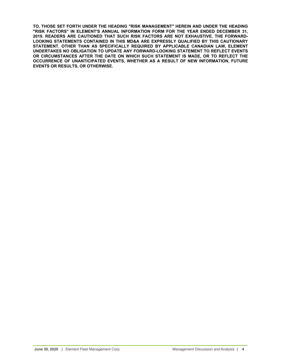**TO, THOSE SET FORTH UNDER THE HEADING "RISK MANAGEMENT" HEREIN AND UNDER THE HEADING "RISK FACTORS" IN ELEMENT'S ANNUAL INFORMATION FORM FOR THE YEAR ENDED DECEMBER 31, 2019. READERS ARE CAUTIONED THAT SUCH RISK FACTORS ARE NOT EXHAUSTIVE. THE FORWARD-LOOKING STATEMENTS CONTAINED IN THIS MD&A ARE EXPRESSLY QUALIFIED BY THIS CAUTIONARY STATEMENT. OTHER THAN AS SPECIFICALLY REQUIRED BY APPLICABLE CANADIAN LAW, ELEMENT UNDERTAKES NO OBLIGATION TO UPDATE ANY FORWARD-LOOKING STATEMENT TO REFLECT EVENTS OR CIRCUMSTANCES AFTER THE DATE ON WHICH SUCH STATEMENT IS MADE, OR TO REFLECT THE OCCURRENCE OF UNANTICIPATED EVENTS, WHETHER AS A RESULT OF NEW INFORMATION, FUTURE EVENTS OR RESULTS, OR OTHERWISE.**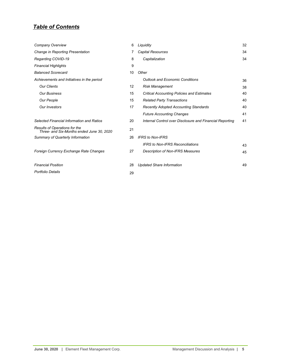## *Table of Contents*

| Company Overview                                                           | 6  | Liquidity                                                | 32 |
|----------------------------------------------------------------------------|----|----------------------------------------------------------|----|
| Change in Reporting Presentation                                           |    | <b>Capital Resources</b>                                 | 34 |
| Regarding COVID-19                                                         | 8  | Capitalization                                           | 34 |
| <b>Financial Highlights</b>                                                | 9  |                                                          |    |
| <b>Balanced Scorecard</b>                                                  | 10 | Other                                                    |    |
| Achievements and Initiatives in the period                                 |    | <b>Outlook and Economic Conditions</b>                   | 36 |
| <b>Our Clients</b>                                                         | 12 | <b>Risk Management</b>                                   | 38 |
| <b>Our Business</b>                                                        | 15 | <b>Critical Accounting Policies and Estimates</b>        | 40 |
| Our People                                                                 | 15 | <b>Related Party Transactions</b>                        | 40 |
| Our Investors                                                              | 17 | <b>Recently Adopted Accounting Standards</b>             | 40 |
|                                                                            |    | <b>Future Accounting Changes</b>                         | 41 |
| Selected Financial Information and Ratios                                  | 20 | Internal Control over Disclosure and Financial Reporting | 41 |
| Results of Operations for the<br>Three- and Six-Months ended June 30, 2020 | 21 |                                                          |    |
| Summary of Quarterly Information                                           | 26 | <b>IFRS to Non-IFRS</b>                                  |    |
|                                                                            |    | <b>IFRS to Non-IFRS Reconciliations</b>                  | 43 |
| Foreign Currency Exchange Rate Changes                                     | 27 | <b>Description of Non-IFRS Measures</b>                  | 45 |
| <b>Financial Position</b>                                                  | 28 | <b>Updated Share Information</b>                         | 49 |
| Portfolio Details                                                          | 29 |                                                          |    |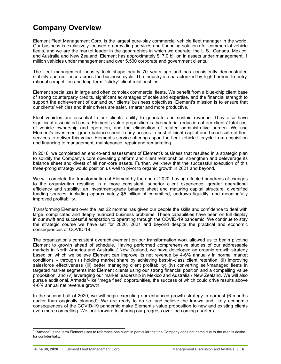# <span id="page-5-0"></span>**Company Overview**

Element Fleet Management Corp. is the largest pure-play commercial vehicle fleet manager in the world. Our business is exclusively focused on providing services and financing solutions for commercial vehicle fleets, and we are the market leader in the geographies in which we operate: the U.S., Canada, Mexico, and Australia and New Zealand. Element has approximately \$17.0 billion in assets under management, 1 million vehicles under management and over 5,500 corporate and government clients.

The fleet management industry took shape nearly 70 years ago and has consistently demonstrated stability and resilience across the business cycle. The industry is characterized by high barriers to entry, rational competition and long-term, "sticky" client relationships.

Element specializes in large and often complex commercial fleets. We benefit from a blue-chip client base of strong counterparty credits, significant advantages of scale and expertise, and the financial strength to support the achievement of our and our clients' business objectives. Element's mission is to ensure that our clients' vehicles and their drivers are safer, smarter and more productive.

Fleet vehicles are essential to our clients' ability to generate and sustain revenue. They also have significant associated costs. Element's value proposition is the material reduction of our clients' total cost of vehicle ownership and operation, and the elimination of related administrative burden. We use Element's investment-grade balance sheet, ready access to cost-efficient capital and broad suite of fleet services to deliver this value. Element's service offerings span the fleet vehicle lifecycle from acquisition and financing to management, maintenance, repair and remarketing.

In 2018, we completed an end-to-end assessment of Element's business that resulted in a strategic plan to solidify the Company's core operating platform and client relationships, strengthen and deleverage its balance sheet and divest of all non-core assets. Further, we knew that the successful execution of this three-prong strategy would position us well to pivot to organic growth in 2021 and beyond.

We will complete the transformation of Element by the end of 2020, having effected hundreds of changes to the organization resulting in a more consistent, superior client experience; greater operational efficiency and stability; an investment-grade balance sheet and maturing capital structure; diversified funding sources, including approximately \$5 billion of committed, undrawn liquidity; and meaningfully improved profitability.

Transforming Element over the last 22 months has given our people the skills and confidence to deal with large, complicated and deeply nuanced business problems. These capabilities have been on full display in our swift and successful adaptation to operating through the COVID-19 pandemic. We continue to stay the strategic course we have set for 2020, 2021 and beyond despite the practical and economic consequences of COVID-19.

The organization's consistent overachievement on our transformation work allowed us to begin pivoting Element to growth ahead of schedule. Having performed comprehensive studies of our addressable markets in North America and Australia / New Zealand, we have developed an organic growth strategy based on which we believe Element can improve its net revenue by 4-6% annually in normal market conditions – through (i) holding market share by achieving best-in-class client retention; (ii) improving salesforce effectiveness (iii) better managing client profitability; (iv) converting self-managed fleets in targeted market segments into Element clients using our strong financial position and a compelling value proposition; and (v) leveraging our market leadership in Mexico and Australia / New Zealand. We will also pursue additional, Armada<sup>Y</sup>-like "mega fleet" opportunities, the success of which could drive results above 4-6% annual net revenue growth.

In the second half of 2020, we will begin executing our enhanced growth strategy in earnest (6 months earlier than originally planned). We are ready to do so, and believe the known and likely economic consequences of the COVID-19 pandemic make Element's value proposition to new and existing clients even more compelling. We look forward to sharing our progress over the coming quarters.

<sup>&</sup>lt;sup>1</sup> "Armada" is the term Element uses to reference one client in particular that the Company does not name due to the client's desire for confidentiality.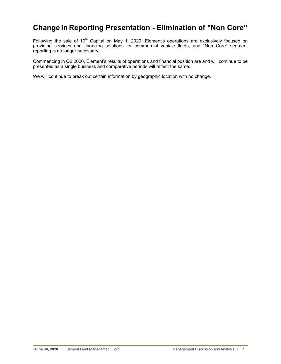## <span id="page-6-0"></span>**Change in Reporting Presentation - Elimination of "Non Core"**

Following the sale of 19<sup>th</sup> Capital on May 1, 2020, Element's operations are exclusively focused on providing services and financing solutions for commercial vehicle fleets, and "Non Core" segment reporting is no longer necessary.

Commencing in Q2 2020, Element's results of operations and financial position are and will continue to be presented as a single business and comparative periods will reflect the same.

We will continue to break out certain information by geographic location with no change.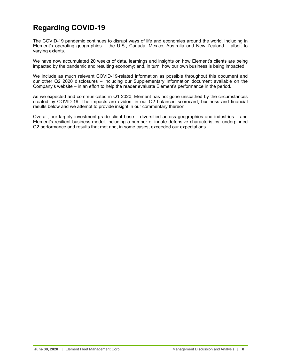# <span id="page-7-0"></span>**Regarding COVID-19**

The COVID-19 pandemic continues to disrupt ways of life and economies around the world, including in Element's operating geographies – the U.S., Canada, Mexico, Australia and New Zealand – albeit to varying extents.

We have now accumulated 20 weeks of data, learnings and insights on how Element's clients are being impacted by the pandemic and resulting economy; and, in turn, how our own business is being impacted.

We include as much relevant COVID-19-related information as possible throughout this document and our other Q2 2020 disclosures – including our Supplementary Information document available on the Company's website – in an effort to help the reader evaluate Element's performance in the period.

As we expected and communicated in Q1 2020, Element has not gone unscathed by the circumstances created by COVID-19. The impacts are evident in our Q2 balanced scorecard, business and financial results below and we attempt to provide insight in our commentary thereon.

Overall, our largely investment-grade client base – diversified across geographies and industries – and Element's resilient business model, including a number of innate defensive characteristics, underpinned Q2 performance and results that met and, in some cases, exceeded our expectations.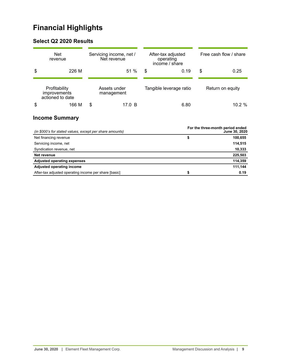# <span id="page-8-0"></span>**Financial Highlights**

## **Select Q2 2020 Results**

| <b>Net</b><br>revenue                             | Servicing income, net /<br>Net revenue | Free cash flow / share<br>After-tax adjusted<br>operating |      |    |                  |
|---------------------------------------------------|----------------------------------------|-----------------------------------------------------------|------|----|------------------|
| \$<br>226 M                                       | 51 %                                   | income / share<br>\$                                      | 0.19 | \$ | 0.25             |
| Profitability<br>improvements<br>actioned to date | Assets under<br>management             | Tangible leverage ratio                                   |      |    | Return on equity |
| \$<br>166 M                                       | \$<br>17.0 B                           |                                                           | 6.80 |    | 10.2 %           |

## **Income Summary**

| (in \$000's for stated values, except per share amounts) | For the three-month period ended<br>June 30, 2020 |         |  |  |  |
|----------------------------------------------------------|---------------------------------------------------|---------|--|--|--|
| Net financing revenue                                    | \$                                                | 100,655 |  |  |  |
| Servicing income, net                                    |                                                   | 114,515 |  |  |  |
| Syndication revenue, net                                 |                                                   | 10,333  |  |  |  |
| Net revenue                                              |                                                   | 225,503 |  |  |  |
| <b>Adjusted operating expenses</b>                       |                                                   | 114,359 |  |  |  |
| Adjusted operating income                                |                                                   | 111,144 |  |  |  |
| After-tax adjusted operating income per share [basic]    |                                                   | 0.19    |  |  |  |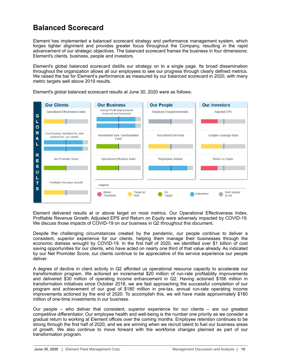## <span id="page-9-0"></span>**Balanced Scorecard**

Element has implemented a balanced scorecard strategy and performance management system, which forges tighter alignment and provides greater focus throughout the Company, resulting in the rapid advancement of our strategic objectives. The balanced scorecard frames the business in four dimensions: Element's clients, business, people and investors.

Element's global balanced scorecard distills our strategy on to a single page. Its broad dissemination throughout the organization allows all our employees to see our progress through clearly defined metrics. We raised the bar for Element's performance as measured by our balanced scorecard in 2020, with many metric targets well above 2019 results.



Element's global balanced scorecard results at June 30, 2020 were as follows:

Element delivered results at or above target on most metrics. Our Operational Effectiveness Index, Profitable Revenue Growth, Adjusted EPS and Return on Equity were adversely impacted by COVID-19. We discuss those impacts of COVID-19 on our business in Q2 throughout this document.

Despite the challenging circumstances created by the pandemic, our people continue to deliver a consistent, superior experience for our clients, helping them manage their businesses through the economic distress wrought by COVID-19. In the first half of 2020, we identified over \$1 billion of cost saving opportunities for our clients, who have acted on nearly one third of that value already. As indicated by our Net Promoter Score, our clients continue to be appreciative of the service experience our people deliver.

A degree of decline in client activity in Q2 afforded us operational resource capacity to accelerate our transformation program. We actioned an incremental \$20 million of run-rate profitability improvements and delivered \$30 million of operating income enhancement in Q2. Having actioned \$166 million in transformation initiatives since October 2018, we are fast approaching the successful completion of our program and achievement of our goal of \$180 million in pre-tax, annual run-rate operating income improvements actioned by the end of 2020. To accomplish this, we will have made approximately \$180 million of one-time investments in our business.

Our people – who deliver that consistent, superior experience for our clients – are our greatest competitive differentiator. Our employee health and well-being is the number one priority as we consider a gradual return to working at Element offices over the coming months. Employee retention continues to be strong through the first half of 2020, and we are winning when we recruit talent to fuel our business areas of growth. We also continue to move forward with the workforce changes planned as part of our transformation program.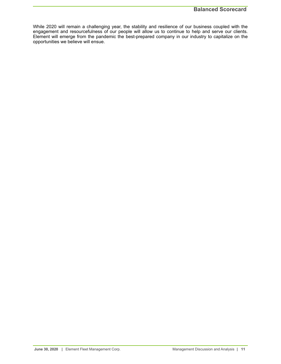While 2020 will remain a challenging year, the stability and resilience of our business coupled with the engagement and resourcefulness of our people will allow us to continue to help and serve our clients. Element will emerge from the pandemic the best-prepared company in our industry to capitalize on the opportunities we believe will ensue.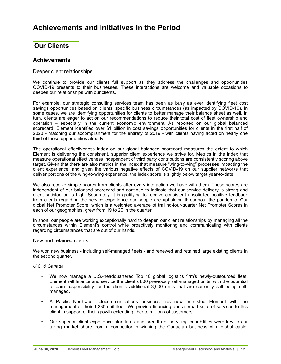## <span id="page-11-0"></span>**Our Clients**

## **Achievements**

## Deeper client relationships

We continue to provide our clients full support as they address the challenges and opportunities COVID-19 presents to their businesses. These interactions are welcome and valuable occasions to deepen our relationships with our clients.

For example, our strategic consulting services team has been as busy as ever identifying fleet cost savings opportunities based on clients' specific business circumstances (as impacted by COVID-19). In some cases, we are identifying opportunities for clients to better manage their balance sheet as well. In turn, clients are eager to act on our recommendations to reduce their total cost of fleet ownership and operation – especially in the current economic environment. As reported on our global balanced scorecard, Element identified over \$1 billion in cost savings opportunities for clients in the first half of 2020 - matching our accomplishment for the entirety of 2019 - with clients having acted on nearly one third of those opportunities already.

The operational effectiveness index on our global balanced scorecard measures the extent to which Element is delivering the consistent, superior client experience we strive for. Metrics in the index that measure operational effectiveness independent of third party contributions are consistently scoring above target. Given that there are also metrics in the index that measure "wing-to-wing" processes impacting the client experience, and given the various negative effects of COVID-19 on our supplier networks that deliver portions of the wing-to-wing experience, the index score is slightly below target year-to-date.

We also receive simple scores from clients after every interaction we have with them. These scores are independent of our balanced scorecard and continue to indicate that our service delivery is strong and client satisfaction is high. Separately, it is gratifying to receive consistent unsolicited positive feedback from clients regarding the service experience our people are upholding throughout the pandemic. Our global Net Promoter Score, which is a weighted average of trailing-four-quarter Net Promoter Scores in each of our geographies, grew from 19 to 20 in the quarter.

In short, our people are working exceptionally hard to deepen our client relationships by managing all the circumstances within Element's control while proactively monitoring and communicating with clients regarding circumstances that are out of our hands.

## New and retained clients

We won new business - including self-managed fleets - and renewed and retained large existing clients in the second quarter.

## *U.S. & Canada*

- We now manage a U.S.-headquartered Top 10 global logistics firm's newly-outsourced fleet. Element will finance and service the client's 800 previously self-managed units, with the potential to earn responsibility for the client's additional 3,000 units that are currently still being selfmanaged.
- A Pacific Northwest telecommunications business has now entrusted Element with the management of their 1,235-unit fleet. We provide financing and a broad suite of services to this client in support of their growth extending fiber to millions of customers.
- Our superior client experience standards and breadth of servicing capabilities were key to our taking market share from a competitor in winning the Canadian business of a global cable,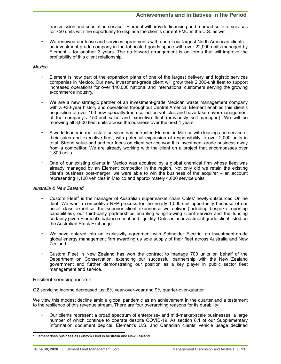transmission and substation servicer. Element will provide financing and a broad suite of services for 750 units with the opportunity to displace the client's current FMC in the U.S. as well.

• We renewed our lease and services agreements with one of our largest North American clients – an investment-grade company in the fabricated goods space with over 22,000 units managed by Element – for another 3 years. The go-forward arrangement is on terms that will improve the profitability of this client relationship.

## *Mexico*

- Element is now part of the expansion plans of one of the largest delivery and logistic services companies in Mexico. Our new, investment-grade client will grow their 2,300-unit fleet to support increased operations for over 140,000 national and international customers serving the growing e-commerce industry.
- We are a new strategic partner of an investment-grade Mexican waste management company with a +30-year history and operations throughout Central America. Element enabled this client's acquisition of over 100 new specialty trash collection vehicles and have taken over management of the company's 150-unit sales and executive fleet (previously self-managed). We will be renewing all 3,000 fleet units across the business over the next 4 years.
- A world leader in real estate services has entrusted Element in Mexico with leasing and service of their sales and executive fleet, with potential expansion of responsibility to over 2,000 units in total. Strong value-add and our focus on client service won this investment-grade business away from a competitor. We are already working with the client on a project that encompasses over 1,800 units.
- One of our existing clients in Mexico was acquired by a global chemical firm whose fleet was already managed by an Element competitor in the region. Not only did we retain the existing client's business post-merger; we were able to win the business of the acquirer – an account representing 1,100 vehicles in Mexico and approximately 4,000 service units.

## *Australia & New Zealand*

- Custom Fleet<sup>2</sup> is the manager of Australian supermarket chain Coles' newly-outsourced Online fleet. We won a competitive RFP process for the nearly 1,000-unit opportunity because of our asset class expertise, the superior client experience we deliver (including bespoke reporting capabilities), our third-party partnerships enabling wing-to-wing client service and the funding certainty given Element's balance sheet and liquidity. Coles is an investment-grade client listed on the Australian Stock Exchange.
- We have entered into an exclusivity agreement with Schneider Electric, an investment-grade global energy management firm awarding us sole supply of their fleet across Australia and New Zealand.
- Custom Fleet in New Zealand has won the contract to manage 700 units on behalf of the Department on Conservation, extending our successful partnership with the New Zealand government and further demonstrating our position as a key player in public sector fleet management and service.

## Resilient servicing income

Q2 servicing income decreased just 8% year-over-year and 9% quarter-over-quarter.

We view this modest decline amid a global pandemic as an achievement in the quarter and a testament to the resilience of this revenue stream. There are four overarching reasons for its durability:

• Our clients represent a broad spectrum of enterprise- and mid-market-scale businesses, a large number of which continue to operate despite COVID-19. As section 8.1 of our Supplementary Information document depicts, Element's U.S. and Canadian clients' vehicle usage declined

 $2$  Element does business as Custom Fleet in Australia and New Zealand.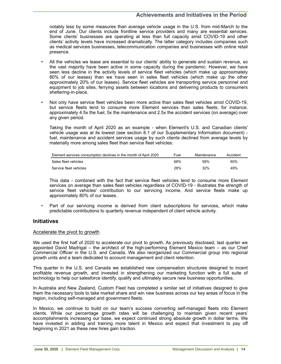notably less by some measures than average vehicle usage in the U.S. from mid-March to the end of June. Our clients include frontline service providers and many are essential services. Some clients' businesses are operating at less than full capacity amid COVID-19 and other clients' activity levels have increased dramatically. The latter category includes companies such as medical services businesses, telecommunication companies and businesses with online retail presence.

- All the vehicles we lease are essential to our clients' ability to generate and sustain revenue, so the vast majority have been active in some capacity during the pandemic. However, we have seen less decline in the activity levels of service fleet vehicles (which make up approximately 80% of our leases) than we have seen in sales fleet vehicles (which make up the other approximately 20% of our leases). Service fleet vehicles are transporting service personnel and equipment to job sites, ferrying assets between locations and delivering products to consumers sheltering-in-place.
- Not only have service fleet vehicles been more active than sales fleet vehicles amid COVID-19, but service fleets tend to consume more Element services than sales fleets; for instance, approximately 4.5x the fuel, 5x the maintenance and 2.5x the accident services (on average) over any given period.

Taking the month of April 2020 as an example - when Element's U.S. and Canadian clients' vehicle usage was at its lowest (see section 8.1 of our Supplementary Information document) fuel, maintenance and accident services usage by such clients declined from average levels by materially more among sales fleet than service fleet vehicles:

| Element services consumption declines in the month of April 2020 | Fuel | Maintenance | Accident |
|------------------------------------------------------------------|------|-------------|----------|
| Sales fleet vehicles                                             | 68%  | .58%        | 60%      |
| Service fleet vehicles                                           | 28%  | 32%         | 49%      |

This data - combined with the fact that service fleet vehicles tend to consume more Element services on average than sales fleet vehicles regardless of COVID-19 - illustrates the strength of service fleet vehicles' contribution to our servicing income. And service fleets make up approximately 80% of our leases.

Part of our servicing income is derived from client subscriptions for services, which make predictable contributions to quarterly revenue independent of client vehicle activity.

## **Initiatives**

## Accelerate the pivot to growth

We used the first half of 2020 to accelerate our pivot to growth. As previously disclosed, last quarter we appointed David Madrigal – the architect of the high-performing Element Mexico team – as our Chief Commercial Officer in the U.S. and Canada. We also reorganized our Commercial group into regional growth units and a team dedicated to account management and client retention.

This quarter in the U.S. and Canada we established new compensation structures designed to incent profitable revenue growth, and invested in strengthening our marketing function with a full suite of technology to help our salesforce identify, qualify and ultimately secure new business opportunities.

In Australia and New Zealand, Custom Fleet has completed a similar set of initiatives designed to give them the necessary tools to take market share and win new business across our key areas of focus in the region, including self-managed and government fleets.

In Mexico, we continue to build on our team's success converting self-managed fleets into Element clients. While our percentage growth rates will be challenging to maintain given recent years' accomplishments increasing our base, we expect continued strong absolute growth in dollar terms. We have invested in adding and training more talent in Mexico and expect that investment to pay off beginning in 2021 as these new hires gain traction.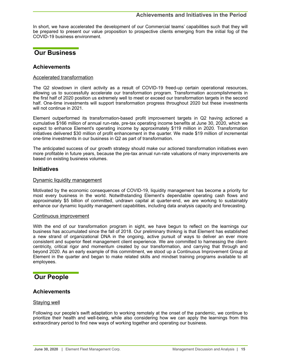<span id="page-14-0"></span>In short, we have accelerated the development of our Commercial teams' capabilities such that they will be prepared to present our value proposition to prospective clients emerging from the initial fog of the COVID-19 business environment.

## **Our Business**

## **Achievements**

## Accelerated transformation

The Q2 slowdown in client activity as a result of COVID-19 freed-up certain operational resources, allowing us to successfully accelerate our transformation program. Transformation accomplishments in the first half of 2020 position us extremely well to meet or exceed our transformation targets in the second half. One-time investments will support transformation progress throughout 2020 but these investments will not continue in 2021.

Element outperformed its transformation-based profit improvement targets in Q2 having actioned a cumulative \$166 million of annual run-rate, pre-tax operating income benefits at June 30, 2020, which we expect to enhance Element's operating income by approximately \$119 million in 2020. Transformation initiatives delivered \$30 million of profit enhancement in the quarter. We made \$19 million of incremental one-time investments in our business in Q2 as part of transformation.

The anticipated success of our growth strategy should make our actioned transformation initiatives even more profitable in future years, because the pre-tax annual run-rate valuations of many improvements are based on existing business volumes.

## **Initiatives**

## Dynamic liquidity management

Motivated by the economic consequences of COVID-19, liquidity management has become a priority for most every business in the world. Notwithstanding Element's dependable operating cash flows and approximately \$5 billion of committed, undrawn capital at quarter-end, we are working to sustainably enhance our dynamic liquidity management capabilities, including data analysis capacity and forecasting.

## Continuous improvement

With the end of our transformation program in sight, we have begun to reflect on the learnings our business has accumulated since the fall of 2018. Our preliminary thinking is that Element has established a new strand of organizational DNA in the ongoing, active pursuit of ways to deliver an ever more consistent and superior fleet management client experience. We are committed to harnessing the clientcentricity, critical rigor and momentum created by our transformation, and carrying that through and beyond 2020. As an early example of this commitment, we stood up a Continuous Improvement Group at Element in the quarter and began to make related skills and mindset training programs available to all employees.

## **Our People**

## **Achievements**

## Staying well

Following our people's swift adaptation to working remotely at the onset of the pandemic, we continue to prioritize their health and well-being, while also considering how we can apply the learnings from this extraordinary period to find new ways of working together and operating our business.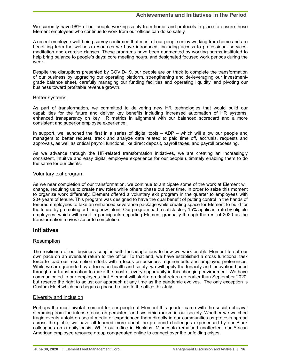We currently have 98% of our people working safely from home, and protocols in place to ensure those Element employees who continue to work from our offices can do so safely.

A recent employee well-being survey confirmed that most of our people enjoy working from home and are benefiting from the wellness resources we have introduced, including access to professional services, meditation and exercise classes. These programs have been augmented by working norms instituted to help bring balance to people's days: core meeting hours, and designated focused work periods during the week.

Despite the disruptions presented by COVID-19, our people are on track to complete the transformation of our business by upgrading our operating platform, strengthening and de-leveraging our investmentgrade balance sheet, carefully managing our funding facilities and operating liquidity, and pivoting our business toward profitable revenue growth.

## Better systems

As part of transformation, we committed to delivering new HR technologies that would build our capabilities for the future and deliver key benefits including increased automation of HR systems, enhanced transparency on key HR metrics in alignment with our balanced scorecard and a more consistent and superior employee experience.

In support, we launched the first in a series of digital tools – ADP – which will allow our people and managers to better request, track and analyze data related to paid time off, accruals, requests and approvals, as well as critical payroll functions like direct deposit, payroll taxes, and payroll processing.

As we advance through the HR-related transformation initiatives, we are creating an increasingly consistent, intuitive and easy digital employee experience for our people ultimately enabling them to do the same for our clients.

## Voluntary exit program

As we near completion of our transformation, we continue to anticipate some of the work at Element will change, requiring us to create new roles while others phase out over time. In order to seize this moment to organize work differently, Element offered a voluntary exit program in the quarter to employees with 20+ years of tenure. This program was designed to have the dual benefit of putting control in the hands of tenured employees to take an enhanced severance package while creating space for Element to build for the future by promoting or hiring new talent. Our program had a satisfactory 15% applicant rate by eligible employees, which will result in participants departing Element gradually through the rest of 2020 as the transformation moves closer to completion.

## **Initiatives**

## Resumption

The resilience of our business coupled with the adaptations to how we work enable Element to set our own pace on an eventual return to the office. To that end, we have established a cross functional task force to lead our resumption efforts with a focus on business requirements and employee preferences. While we are grounded by a focus on health and safety, we will apply the tenacity and innovation honed through our transformation to make the most of every opportunity in this changing environment. We have communicated to our employees that Element will start a gradual return no earlier than September 2020, but reserve the right to adjust our approach at any time as the pandemic evolves. The only exception is Custom Fleet which has begun a phased return to the office this July.

## Diversity and inclusion

Perhaps the most pivotal moment for our people at Element this quarter came with the social upheaval stemming from the intense focus on persistent and systemic racism in our society. Whether we watched tragic events unfold on social media or experienced them directly in our communities as protests spread across the globe, we have all learned more about the profound challenges experienced by our Black colleagues on a daily basis. While our office in Hopkins, Minnesota remained unaffected, our African American employee resource group congregated online to connect over the unfolding crises.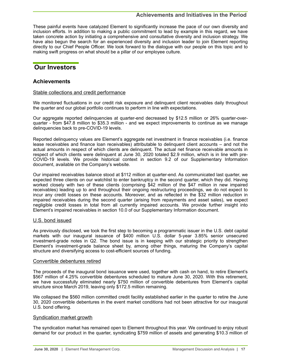<span id="page-16-0"></span>These painful events have catalyzed Element to significantly increase the pace of our own diversity and inclusion efforts. In addition to making a public commitment to lead by example in this regard, we have taken concrete action by initiating a comprehensive and consultative diversity and inclusion strategy. We have also begun the search for an experienced diversity and inclusion leader to join Element reporting directly to our Chief People Officer. We look forward to the dialogue with our people on this topic and to making swift progress on what should be a pillar of our employee culture.

## **Our Investors**

## **Achievements**

## Stable collections and credit performance

We monitored fluctuations in our credit risk exposure and delinguent client receivables daily throughout the quarter and our global portfolio continues to perform in line with expectations.

Our aggregate reported delinquencies at quarter-end decreased by \$12.5 million or 26% quarter-overquarter - from \$47.8 million to \$35.3 million - and we expect improvements to continue as we manage delinquencies back to pre-COVID-19 levels.

Reported delinquency values are Element's aggregate net investment in finance receivables (i.e. finance lease receivables and finance loan receivables) attributable to delinquent client accounts – and not the actual amounts in respect of which clients are delinquent. The actual net finance receivable amounts in respect of which clients were delinquent at June 30, 2020 totaled \$2.9 million, which is in line with pre-COVID-19 levels. We provide historical context in section 9.2 of our Supplementary Information document, available on the Company's website.

Our impaired receivables balance stood at \$112 million at quarter-end. As communicated last quarter, we expected three clients on our watchlist to enter bankruptcy in the second quarter, which they did. Having worked closely with two of these clients (comprising \$42 million of the \$47 million in new impaired receivables) leading up to and throughout their ongoing restructuring proceedings, we do not expect to incur any credit losses on these accounts. Moreover, and as reflected in the \$32 million reduction in impaired receivables during the second quarter (arising from repayments and asset sales), we expect negligible credit losses in total from all currently impaired accounts. We provide further insight into Element's impaired receivables in section 10.0 of our Supplementary Information document.

## U.S. bond issued

As previously disclosed, we took the first step to becoming a programmatic issuer in the U.S. debt capital markets with our inaugural issuance of \$400 million U.S. dollar 5-year 3.85% senior unsecured investment-grade notes in Q2. The bond issue is in keeping with our strategic priority to strengthen Element's investment-grade balance sheet by, among other things, maturing the Company's capital structure and diversifying access to cost-efficient sources of funding.

## Convertible debentures retired

The proceeds of the inaugural bond issuance were used, together with cash on hand, to retire Element's \$567 million of 4.25% convertible debentures scheduled to mature June 30, 2020. With this retirement, we have successfully eliminated nearly \$750 million of convertible debentures from Element's capital structure since March 2019, leaving only \$172.5 million remaining.

We collapsed the \$560 million committed credit facility established earlier in the quarter to retire the June 30, 2020 convertible debentures in the event market conditions had not been attractive for our inaugural U.S. bond offering.

## Syndication market growth

The syndication market has remained open to Element throughout this year. We continued to enjoy robust demand for our product in the quarter, syndicating \$759 million of assets and generating \$10.3 million of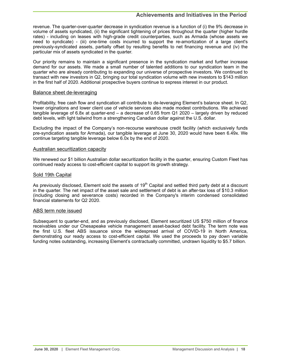revenue. The quarter-over-quarter decrease in syndication revenue is a function of (i) the 9% decrease in volume of assets syndicated, (ii) the significant tightening of prices throughout the quarter (higher hurdle rates) - including on leases with high-grade credit counterparties, such as Armada (whose assets we need to syndicate) - (iii) one-time costs incurred to support the re-amortization of a large client's previously-syndicated assets, partially offset by resulting benefits to net financing revenue and (iv) the particular mix of assets syndicated in the quarter.

Our priority remains to maintain a significant presence in the syndication market and further increase demand for our assets. We made a small number of talented additions to our syndication team in the quarter who are already contributing to expanding our universe of prospective investors. We continued to transact with new investors in Q2, bringing our total syndication volume with new investors to \$143 million in the first half of 2020. Additional prospective buyers continue to express interest in our product.

### Balance sheet de-leveraging

Profitability, free cash flow and syndication all contribute to de-leveraging Element's balance sheet. In Q2, lower originations and lower client use of vehicle services also made modest contributions. We achieved tangible leverage of 6.8x at quarter-end – a decrease of 0.65 from Q1 2020 – largely driven by reduced debt levels, with light tailwind from a strengthening Canadian dollar against the U.S. dollar.

Excluding the impact of the Company's non-recourse warehouse credit facility (which exclusively funds pre-syndication assets for Armada), our tangible leverage at June 30, 2020 would have been 6.49x. We continue targeting tangible leverage below 6.0x by the end of 2020.

#### Australian securitization capacity

We renewed our \$1 billion Australian dollar securitization facility in the quarter, ensuring Custom Fleet has continued ready access to cost-efficient capital to support its growth strategy.

#### Sold 19th Capital

As previously disclosed, Element sold the assets of 19<sup>th</sup> Capital and settled third party debt at a discount in the quarter. The net impact of the asset sale and settlement of debt is an after-tax loss of \$10.3 million (including closing and severance costs) recorded in the Company's interim condensed consolidated financial statements for Q2 2020.

## ABS term note issued

Subsequent to quarter-end, and as previously disclosed, Element securitized US \$750 million of finance receivables under our Chesapeake vehicle management asset-backed debt facility. The term note was the first U.S. fleet ABS issuance since the widespread arrival of COVID-19 in North America, demonstrating our ready access to cost-efficient capital. We used the proceeds to pay down variable funding notes outstanding, increasing Element's contractually committed, undrawn liquidity to \$5.7 billion.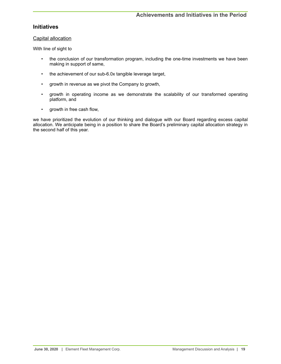## **Initiatives**

## Capital allocation

With line of sight to

- the conclusion of our transformation program, including the one-time investments we have been making in support of same,
- the achievement of our sub-6.0x tangible leverage target,
- growth in revenue as we pivot the Company to growth,
- growth in operating income as we demonstrate the scalability of our transformed operating platform, and
- growth in free cash flow,

we have prioritized the evolution of our thinking and dialogue with our Board regarding excess capital allocation. We anticipate being in a position to share the Board's preliminary capital allocation strategy in the second half of this year.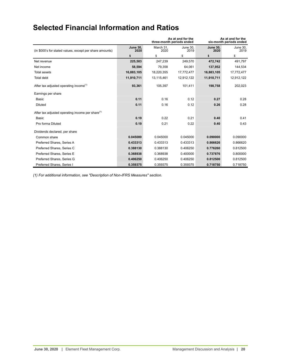# <span id="page-19-0"></span>**Selected Financial Information and Ratios**

|                                                              |                         | As at and for the<br>three-month periods ended | As at and for the<br>six-month periods ended |                         |                  |
|--------------------------------------------------------------|-------------------------|------------------------------------------------|----------------------------------------------|-------------------------|------------------|
| (in \$000's for stated values, except per share amounts)     | <b>June 30.</b><br>2020 | March 31,<br>2020                              | June 30.<br>2019                             | <b>June 30.</b><br>2020 | June 30,<br>2019 |
|                                                              | \$                      | \$                                             | \$                                           | \$                      | \$               |
| Net revenue                                                  | 225,503                 | 247,239                                        | 249,570                                      | 472,742                 | 491,797          |
| Net income                                                   | 58,594                  | 79,358                                         | 64.061                                       | 137,952                 | 144,534          |
| Total assets                                                 | 16,883,105              | 18,220,355                                     | 17,772,477                                   | 16,883,105              | 17,772,477       |
| Total debt                                                   | 11,910,711              | 13,115,461                                     | 12,912,122                                   | 11,910,711              | 12,912,122       |
| After tax adjusted operating income <sup>(1)</sup>           | 93,361                  | 105,397                                        | 101,411                                      | 198,758                 | 202,023          |
| Earnings per share                                           |                         |                                                |                                              |                         |                  |
| Basic                                                        | 0.11                    | 0.16                                           | 0.12                                         | 0.27                    | 0.28             |
| <b>Diluted</b>                                               | 0.11                    | 0.16                                           | 0.12                                         | 0.26                    | 0.28             |
| After tax adjusted operating income per share <sup>(1)</sup> |                         |                                                |                                              |                         |                  |
| <b>Basic</b>                                                 | 0.19                    | 0.22                                           | 0.21                                         | 0.40                    | 0.41             |
| Pro forma Diluted                                            | 0.19                    | 0.21                                           | 0.22                                         | 0.40                    | 0.43             |
| Dividends declared, per share                                |                         |                                                |                                              |                         |                  |
| Common share                                                 | 0.045000                | 0.045000                                       | 0.045000                                     | 0.090000                | 0.090000         |
| Preferred Shares, Series A                                   | 0.433313                | 0.433313                                       | 0.433313                                     | 0.866626                | 0.866620         |
| Preferred Shares, Series C                                   | 0.388130                | 0.388130                                       | 0.406250                                     | 0.776260                | 0.812500         |
| Preferred Shares, Series E                                   | 0.368938                | 0.368938                                       | 0.400000                                     | 0.737876                | 0.800000         |
| Preferred Shares, Series G                                   | 0.406250                | 0.406250                                       | 0.406250                                     | 0.812500                | 0.812500         |
| Preferred Shares, Series I                                   | 0.359375                | 0.359375                                       | 0.359375                                     | 0.718750                | 0.718750         |

*(1) For additional information, see "Description of Non-IFRS Measures" section.*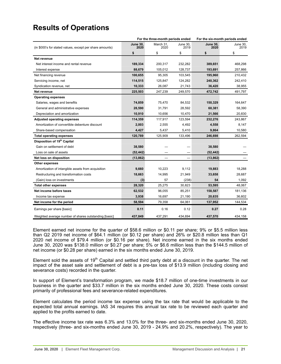## <span id="page-20-0"></span>**Results of Operations**

| For the three-month periods ended                        |                         | For the six-month periods ended |                          |                         |                  |
|----------------------------------------------------------|-------------------------|---------------------------------|--------------------------|-------------------------|------------------|
| (in \$000's for stated values, except per share amounts) | <b>June 30,</b><br>2020 | March 31,<br>2020               | June 30,<br>2019         | <b>June 30,</b><br>2020 | June 30,<br>2019 |
|                                                          | \$                      | \$                              | \$                       | \$                      | \$               |
| Net revenue                                              |                         |                                 |                          |                         |                  |
| Net interest income and rental revenue                   | 189,334                 | 200,317                         | 232,282                  | 389,651                 | 468,298          |
| Interest expense                                         | 88,679                  | 105,012                         | 128,737                  | 193,691                 | 257,866          |
| Net financing revenue                                    | 100,655                 | 95,305                          | 103,545                  | 195,960                 | 210,432          |
| Servicing income, net                                    | 114,515                 | 125,847                         | 124,282                  | 240,362                 | 242,410          |
| Syndication revenue, net                                 | 10,333                  | 26,087                          | 21,743                   | 36,420                  | 38,955           |
| Net revenue                                              | 225,503                 | 247,239                         | 249,570                  | 472,742                 | 491,797          |
| <b>Operating expenses</b>                                |                         |                                 |                          |                         |                  |
| Salaries, wages and benefits                             | 74,859                  | 75,470                          | 84,532                   | 150,329                 | 164,647          |
| General and administrative expenses                      | 28,590                  | 31,791                          | 28,592                   | 60,381                  | 58,390           |
| Depreciation and amortization                            | 10,910                  | 10,656                          | 10,470                   | 21,566                  | 20,830           |
| <b>Adjusted operating expenses</b>                       | 114,359                 | 117,917                         | 123,594                  | 232,276                 | 243,867          |
| Amortization of convertible debenture discount           | 2,003                   | 2,555                           | 4,492                    | 4,558                   | 8,147            |
| Share-based compensation                                 | 4,427                   | 5,437                           | 5,410                    | 9,864                   | 10,580           |
| <b>Total operating expenses</b>                          | 120,789                 | 125,909                         | 133,496                  | 246,698                 | 262,594          |
| Disposition of 19 <sup>th</sup> Capital                  |                         |                                 |                          |                         |                  |
| Gain on settlement of debt                               | 38,580                  |                                 |                          | 38,580                  |                  |
| Loss on sale of assets                                   | (52, 442)               |                                 |                          | (52, 442)               |                  |
| Net loss on disposition                                  | (13, 862)               |                                 | $\overline{\phantom{0}}$ | (13, 862)               |                  |
| <b>Other expenses</b>                                    |                         |                                 |                          |                         |                  |
| Amortization of intangible assets from acquisition       | 9,660                   | 10,223                          | 9,112                    | 19,883                  | 18,288           |
| Restructuring and transformation costs                   | 18,663                  | 14,995                          | 21,949                   | 33,658                  | 28,687           |
| (Gain) loss on investments                               | (3)                     | 57                              | (238)                    | 54                      | 1,092            |
| <b>Total other expenses</b>                              | 28,320                  | 25,275                          | 30,823                   | 53,595                  | 48,067           |
| Net income before taxes                                  | 62,532                  | 96,055                          | 85,251                   | 158,587                 | 181,136          |
| Income tax expense                                       | 3,938                   | 16,697                          | 21,190                   | 20,635                  | 36,602           |
| Net income for the period                                | 58,594                  | 79,358                          | 64,061                   | 137,952                 | 144,534          |
| Earnings per share [basic]                               | 0.11                    | 0.16                            | 0.12                     | 0.27                    | 0.28             |
| Weighted average number of shares outstanding [basic]    | 437,849                 | 437,291                         | 434,694                  | 437,570                 | 434,158          |

Element earned net income for the quarter of \$58.6 million or \$0.11 per share; 9% or \$5.5 million less than Q2 2019 net income of \$64.1 million (or \$0.12 per share) and 26% or \$20.8 million less than Q1 2020 net income of \$79.4 million (or \$0.16 per share). Net income earned in the six months ended June 30, 2020 was \$138.0 million or \$0.27 per share; 5% or \$6.6 million less than the \$144.5 million of net income (or \$0.28 per share) earned in the six months ended June 30, 2019.

Element sold the assets of  $19<sup>th</sup>$  Capital and settled third party debt at a discount in the quarter. The net impact of the asset sale and settlement of debt is a pre-tax loss of \$13.9 million (including closing and severance costs) recorded in the quarter.

In support of Element's transformation program, we made \$18.7 million of one-time investments in our business in the quarter and \$33.7 million in the six months ended June 30, 2020. These costs consist primarily of professional fees and severance-related expenditures.

Element calculates the period income tax expense using the tax rate that would be applicable to the expected total annual earnings. IAS 34 requires this annual tax rate to be reviewed each quarter and applied to the profits earned to date.

The effective income tax rate was 6.3% and 13.0% for the three- and six-months ended June 30, 2020, respectively (three- and six-months ended June 30, 2019 - 24.9% and 20.2%, respectively). The year to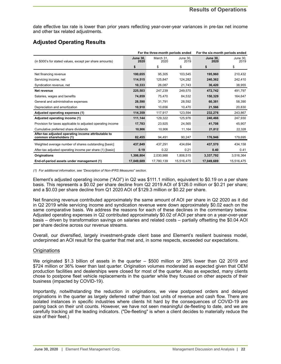date effective tax rate is lower than prior years reflecting year-over-year variances in pre-tax net income and other tax related adjustments.

## **Adjusted Operating Results**

|                                                                                | For the three-month periods ended |                   |                  | For the six-month periods ended |                  |  |
|--------------------------------------------------------------------------------|-----------------------------------|-------------------|------------------|---------------------------------|------------------|--|
| (in \$000's for stated values, except per share amounts)                       | <b>June 30.</b><br>2020           | March 31.<br>2020 | June 30.<br>2019 | <b>June 30.</b><br>2020         | June 30.<br>2019 |  |
|                                                                                | \$                                | \$                | \$               | \$                              | \$               |  |
| Net financing revenue                                                          | 100,655                           | 95,305            | 103,545          | 195,960                         | 210,432          |  |
| Servicing income, net                                                          | 114,515                           | 125,847           | 124,282          | 240,362                         | 242,410          |  |
| Syndication revenue, net                                                       | 10,333                            | 26,087            | 21,743           | 36,420                          | 38,955           |  |
| Net revenue                                                                    | 225,503                           | 247,239           | 249,570          | 472,742                         | 491,797          |  |
| Salaries, wages and benefits                                                   | 74,859                            | 75,470            | 84,532           | 150,329                         | 164,647          |  |
| General and administrative expenses                                            | 28,590                            | 31,791            | 28,592           | 60,381                          | 58,390           |  |
| Depreciation and amortization                                                  | 10,910                            | 10.656            | 10,470           | 21,566                          | 20,830           |  |
| Adjusted operating expenses (1)                                                | 114,359                           | 117,917           | 123,594          | 232,276                         | 243,867          |  |
| Adjusted operating income (1)                                                  | 111,144                           | 129,322           | 125.976          | 240,466                         | 247,930          |  |
| Provision for taxes applicable to adjusted operating income                    | 17,783                            | 23,925            | 24,565           | 41,708                          | 45,907           |  |
| Cumulative preferred share dividends                                           | 10,906                            | 10,906            | 11,164           | 21,812                          | 22,328           |  |
| After-tax adjusted operating income attributable to<br>common shareholders (1) | 82,455                            | 94,491            | 90,247           | 176,946                         | 179,695          |  |
| Weighted average number of shares outstanding [basic]                          | 437,849                           | 437,291           | 434.694          | 437,570                         | 434,158          |  |
| After-tax adjusted operating income per share (1) [basic]                      | 0.19                              | 0.22              | 0.21             | 0.40                            | 0.41             |  |
| <b>Originations</b>                                                            | 1,306,804                         | 2,030,988         | 1,806,515        | 3,337,792                       | 3,516,364        |  |
| End-of-period assets under management (1)                                      | 17,049,689                        | 17,780,139        | 15.516.475       | 17.049.689                      | 15,516,475       |  |

*(1) For additional information, see "Description of Non-IFRS Measures" section.*

Element's adjusted operating income ("AOI") in Q2 was \$111.1 million, equivalent to \$0.19 on a per share basis. This represents a \$0.02 per share decline from Q2 2019 AOI of \$126.0 million or \$0.21 per share; and a \$0.03 per share decline from Q1 2020 AOI of \$129.3 million or \$0.22 per share.

Net financing revenue contributed approximately the same amount of AOI per share in Q2 2020 as it did in Q2 2019 while servicing income and syndication revenue were down approximately \$0.02 each on the same comparative basis. We address the reasons for each of these declines in the commentary below. Adjusted operating expenses in Q2 contributed approximately \$0.02 of AOI per share on a year-over-year basis – driven by transformation savings on salaries and related costs – partially offsetting the \$0.04 AOI per share decline across our revenue streams.

Overall, our diversified, largely investment-grade client base and Element's resilient business model, underpinned an AOI result for the quarter that met and, in some respects, exceeded our expectations.

## **Originations**

We originated \$1.3 billion of assets in the quarter – \$500 million or 28% lower than Q2 2019 and \$724 million or 36% lower than last quarter. Origination volumes moderated as expected given that OEM production facilities and dealerships were closed for most of the quarter. Also as expected, many clients chose to postpone fleet vehicle replacements in the quarter while they focused on other aspects of their business (impacted by COVID-19).

Importantly, notwithstanding the reduction in originations, we view postponed orders and delayed originations in the quarter as largely deferred rather than lost units of revenue and cash flow. There are isolated instances in specific industries where clients hit hard by the consequences of COVID-19 are paring back on their unit counts. However, we have not seen meaningful de-fleeting to date, and we are carefully tracking all the leading indicators. ("De-fleeting" is when a client decides to materially reduce the size of their fleet.)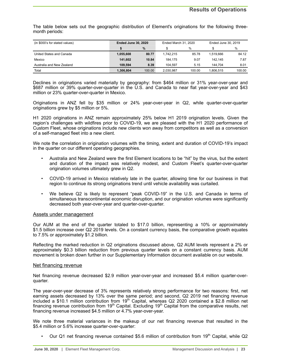The table below sets out the geographic distribution of Element's originations for the following threemonth periods:

| (in \$000's for stated values) | <b>Ended June 30, 2020</b> |        | Ended March 31, 2020 |        | Ended June 30, 2019 |        |
|--------------------------------|----------------------------|--------|----------------------|--------|---------------------|--------|
|                                |                            | $\%$   |                      | $\%$   |                     | $\%$   |
| United States and Canada       | 1.055.608                  | 80.77  | 1.742.215            | 85.78  | 1.519.666           | 84.12  |
| Mexico                         | 141.602                    | 10.84  | 184.175              | 9.07   | 142.145             | 7.87   |
| Australia and New Zealand      | 109.594                    | 8.39   | 104.597              | 5.15   | 144.704             | 8.01   |
| Total                          | 1,306,804                  | 100.00 | 2.030.987            | 100.00 | 1,806,515           | 100.00 |

Declines in originations varied materially by geography: from \$464 million or 31% year-over-year and \$687 million or 39% quarter-over-quarter in the U.S. and Canada to near flat year-over-year and \$43 million or 23% quarter-over-quarter in Mexico.

Originations in ANZ fell by \$35 million or 24% year-over-year in Q2, while quarter-over-quarter originations grew by \$5 million or 5%.

H1 2020 originations in ANZ remain approximately 25% below H1 2019 origination levels. Given the region's challenges with wildfires prior to COVID-19, we are pleased with the H1 2020 performance of Custom Fleet, whose originations include new clients won away from competitors as well as a conversion of a self-managed fleet into a new client.

We note the correlation in origination volumes with the timing, extent and duration of COVID-19's impact in the quarter on our different operating geographies.

- Australia and New Zealand were the first Element locations to be "hit" by the virus, but the extent and duration of the impact was relatively modest, and Custom Fleet's quarter-over-quarter origination volumes ultimately grew in Q2.
- COVID-19 arrived in Mexico relatively late in the quarter, allowing time for our business in that region to continue its strong originations trend until vehicle availability was curtailed.
- We believe Q2 is likely to represent "peak COVID-19" in the U.S. and Canada in terms of simultaneous transcontinental economic disruption, and our origination volumes were significantly decreased both year-over-year and quarter-over-quarter.

## Assets under management

Our AUM at the end of the quarter totaled to \$17.0 billion, representing a 10% or approximately \$1.5 billion increase over Q2 2019 levels. On a constant currency basis, the comparative growth equates to 7.5% or approximately \$1.2 billion.

Reflecting the marked reduction in Q2 originations discussed above, Q2 AUM levels represent a 2% or approximately \$0.3 billion reduction from previous quarter levels on a constant currency basis. AUM movement is broken down further in our Supplementary Information document available on our website.

## Net financing revenue

Net financing revenue decreased \$2.9 million year-over-year and increased \$5.4 million quarter-overquarter.

The year-over-year decrease of 3% represents relatively strong performance for two reasons: first, net earning assets decreased by 13% over the same period; and second, Q2 2019 net financing revenue included a \$10.1 million contribution from 19th Capital, whereas Q2 2020 contained a \$2.8 million net financing revenue contribution from 19<sup>th</sup> Capital. Excluding 19<sup>th</sup> Capital from the comparative results, net financing revenue increased \$4.5 million or 4.7% year-over-year.

We note three material variances in the makeup of our net financing revenue that resulted in the \$5.4 million or 5.6% increase quarter-over-quarter:

Our Q1 net financing revenue contained \$5.6 million of contribution from  $19<sup>th</sup>$  Capital, while Q2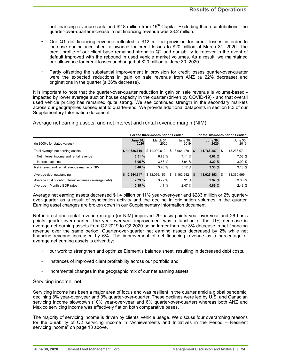net financing revenue contained \$2.8 million from  $19<sup>th</sup>$  Capital. Excluding these contributions, the quarter-over-quarter increase in net financing revenue was \$8.2 million.

- Our Q1 net financing revenue reflected a \$12 million provision for credit losses in order to increase our balance sheet allowance for credit losses to \$20 million at March 31, 2020. The credit profile of our client base remained strong in Q2 and our ability to recover in the event of default improved with the rebound in used vehicle market volumes. As a result, we maintained our allowance for credit losses unchanged at \$20 million at June 30, 2020.
- Partly offsetting the substantial improvement in provision for credit losses quarter-over-quarter were the expected reductions in gain on sale revenue from ANZ (a 22% decrease) and originations in the quarter (a 36% decrease).

It is important to note that the quarter-over-quarter reduction in gain on sale revenue is volume-based impacted by lower average auction house capacity in the quarter (driven by COVID-19) - and that overall used vehicle pricing has remained quite strong. We see continued strength in the secondary markets across our geographies subsequent to quarter-end. We provide additional datapoints in section 8.3 of our Supplementary Information document.

## Average net earning assets, and net interest and rental revenue margin (NIM)

|                                                        |                         | For the three-month periods ended |                  |                            |       | For the six-month periods ended |  |  |
|--------------------------------------------------------|-------------------------|-----------------------------------|------------------|----------------------------|-------|---------------------------------|--|--|
| (in \$000's for stated values)                         | <b>June 30.</b><br>2020 | March 31.<br>2020                 | June 30.<br>2019 | <b>June 30.</b>            | 2020  | June 30,<br>2019                |  |  |
| Total average net earning assets                       | \$11.626.619            | \$11,909,612                      | \$13,064,470     | 11,768,287<br>s.           |       | 13,238,071<br>S                 |  |  |
| Net interest income and rental revenue                 | 6.51%                   | 6.73%                             | 7.11 %           |                            | 6.62% | 7.08 %                          |  |  |
| Interest expense                                       | 3.05%                   | 3.53%                             | 3.94%            |                            | 3.29% | 3.90 %                          |  |  |
| Net interest and rental revenue margin or NIM          | 3.46%                   | 3.20%                             | 3.17%            |                            | 3.33% | 3.18%                           |  |  |
| Average debt outstanding                               | \$12,944,547            | \$13,056,159                      | \$13,162,242     | 13,025,353<br>$\mathbf{s}$ |       | 13,360,999<br>\$.               |  |  |
| Average cost of debt (Interest expense / average debt) | 2.73%                   | 3.22%                             | 3.91%            |                            | 2.97% | 3.86%                           |  |  |
| Average 1-Month LIBOR rates                            | 0.35%                   | 1.41%                             | 2.47%            |                            | 0.89% | 2.48%                           |  |  |

Average net earning assets decreased \$1.4 billion or 11% year-over-year and \$283 million or 2% quarterover-quarter as a result of syndication activity and the decline in origination volumes in the quarter. Earning asset changes are broken down in our Supplementary Information document.

Net interest and rental revenue margin (or NIM) improved 29 basis points year-over-year and 26 basis points quarter-over-quarter. The year-over-year improvement was a function of the 11% decrease in average net earning assets from Q2 2019 to Q2 2020 being larger than the 3% decrease in net financing revenue over the same period. Quarter-over-quarter net earning assets decreased by 2% while net financing revenue increased by 6%. The improvement of net financing revenue as a percentage of average net earning assets is driven by:

- our work to strengthen and optimize Element's balance sheet, resulting in decreased debt costs,
- instances of improved client profitability across our portfolio and
- incremental changes in the geographic mix of our net earning assets.

## Servicing income, net

Servicing income has been a major area of focus and was resilient in the quarter amid a global pandemic, declining 8% year-over-year and 9% quarter-over-quarter. These declines were led by U.S. and Canadian servicing income slowdown (10% year-over-year and 6% quarter-over-quarter) whereas both ANZ and Mexico servicing income was effectively flat on both comparative bases.

The majority of servicing income is driven by clients' vehicle usage. We discuss four overarching reasons for the durability of Q2 servicing income in "Achievements and Initiatives in the Period – Resilient servicing income" on page 13 above.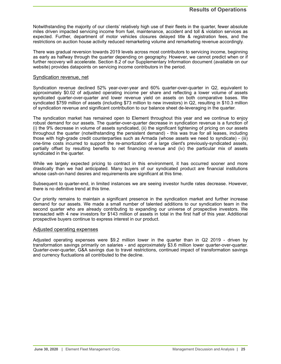Notwithstanding the majority of our clients' relatively high use of their fleets in the quarter, fewer absolute miles driven impacted servicing income from fuel, maintenance, accident and toll & violation services as expected. Further, department of motor vehicles closures delayed title & registration fees, and the restrictions on auction house activity reduced remarketing volume and remarketing revenue accordingly.

There was gradual reversion towards 2019 levels across most contributors to servicing income, beginning as early as halfway through the quarter depending on geography. However, we cannot predict when or if further recovery will accelerate. Section 8.2 of our Supplementary Information document (available on our website) provides datapoints on servicing income contributors in the period.

#### Syndication revenue, net

Syndication revenue declined 52% year-over-year and 60% quarter-over-quarter in Q2, equivalent to approximately \$0.02 of adjusted operating income per share and reflecting a lower volume of assets syndicated quarter-over-quarter and lower revenue yield on assets on both comparative bases. We syndicated \$759 million of assets (including \$73 million to new investors) in Q2, resulting in \$10.3 million of syndication revenue and significant contribution to our balance sheet de-leveraging in the quarter.

The syndication market has remained open to Element throughout this year and we continue to enjoy robust demand for our assets. The quarter-over-quarter decrease in syndication revenue is a function of (i) the 9% decrease in volume of assets syndicated, (ii) the significant tightening of pricing on our assets throughout the quarter (notwithstanding the persistent demand) - this was true for all leases, including those with high-grade credit counterparties such as Armada (whose assets we need to syndicate) - (iii) one-time costs incurred to support the re-amortization of a large client's previously-syndicated assets, partially offset by resulting benefits to net financing revenue and (iv) the particular mix of assets syndicated in the quarter.

While we largely expected pricing to contract in this environment, it has occurred sooner and more drastically than we had anticipated. Many buyers of our syndicated product are financial institutions whose cash-on-hand desires and requirements are significant at this time.

Subsequent to quarter-end, in limited instances we are seeing investor hurdle rates decrease. However, there is no definitive trend at this time.

Our priority remains to maintain a significant presence in the syndication market and further increase demand for our assets. We made a small number of talented additions to our syndication team in the second quarter who are already contributing to expanding our universe of prospective investors. We transacted with 4 new investors for \$143 million of assets in total in the first half of this year. Additional prospective buyers continue to express interest in our product.

#### Adjusted operating expenses

Adjusted operating expenses were \$9.2 million lower in the quarter than in Q2 2019 - driven by transformation savings primarily on salaries - and approximately \$3.6 million lower quarter-over-quarter. Quarter-over-quarter, G&A savings due to travel restrictions, continued impact of transformation savings and currency fluctuations all contributed to the decline.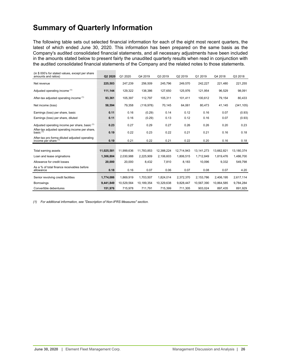# <span id="page-25-0"></span>**Summary of Quarterly Information**

The following table sets out selected financial information for each of the eight most recent quarters, the latest of which ended June 30, 2020. This information has been prepared on the same basis as the Company's audited consolidated financial statements, and all necessary adjustments have been included in the amounts stated below to present fairly the unaudited quarterly results when read in conjunction with the audited consolidated financial statements of the Company and the related notes to those statements.

| (in \$ 000's for stated values, except per share<br>amounts and ratios) | Q2 2020    | Q1 2020    | Q4 2019    | Q3 2019    | Q2 2019    | Q1 2019    | Q4 2018    | Q3 2018    |
|-------------------------------------------------------------------------|------------|------------|------------|------------|------------|------------|------------|------------|
| Net revenue                                                             | 225,503    | 247,239    | 256,509    | 245,796    | 249,570    | 242,227    | 221,480    | 221,255    |
| Adjusted operating income (1)                                           | 111,144    | 129,322    | 138,386    | 127,650    | 125,976    | 121,954    | 96,529     | 98,091     |
| After-tax adjusted operating income (1)                                 | 93,361     | 105,397    | 112,797    | 105,311    | 101,411    | 100,612    | 79,154     | 80,433     |
| Net income (loss)                                                       | 58,594     | 79,358     | (116, 978) | 70,145     | 64,061     | 80,473     | 41,145     | (341, 105) |
| Earnings (loss) per share, basic                                        | 0.11       | 0.16       | (0.29)     | 0.14       | 0.12       | 0.16       | 0.07       | (0.93)     |
| Earnings (loss) per share, diluted                                      | 0.11       | 0.16       | (0.29)     | 0.13       | 0.12       | 0.16       | 0.07       | (0.93)     |
| Adjusted operating income per share, basic (1)                          | 0.23       | 0.27       | 0.29       | 0.27       | 0.26       | 0.26       | 0.20       | 0.23       |
| After-tax adjusted operating income per share,<br>basic $(1)$           | 0.19       | 0.22       | 0.23       | 0.22       | 0.21       | 0.21       | 0.16       | 0.18       |
| After-tax pro forma diluted adjusted operating<br>income per share (1)  | 0.19       | 0.21       | 0.22       | 0.21       | 0.22       | 0.20       | 0.16       | 0.18       |
|                                                                         |            |            |            |            |            |            |            |            |
| Total earning assets                                                    | 11.025.581 | 11.999.636 | 11.783.853 | 12.388.224 | 12.714.943 | 13.141.273 | 13.662.821 | 13.180.374 |
| Loan and lease originations                                             | 1,306,804  | 2,030,988  | 2,225,909  | 2,106,603  | 1,806,515  | 1,712,849  | 1,819,476  | 1,486,700  |
| Allowance for credit losses                                             | 20,000     | 20,000     | 8,432      | 7,810      | 8,183      | 10,096     | 9,332      | 549,798    |
| As a % of total finance receivables before<br>allowance                 | 0.18       | 0.16       | 0.07       | 0.06       | 0.07       | 0.08       | 0.07       | 4.20       |
| Senior revolving credit facilities                                      | 1,774,086  | 1.869.919  | 1,703,507  | 1.824.014  | 2,372,370  | 2.153.786  | 2.406.195  | 2,617,114  |
| <b>Borrowings</b>                                                       | 9,441,849  | 10,529,564 | 10,189,354 | 10,329,638 | 9,828,447  | 10,567,390 | 10,864,585 | 9,784,284  |
| Convertible debentures                                                  | 151,976    | 715,978    | 711,791    | 715.399    | 711.305    | 903.024    | 897,435    | 891,929    |

*(1) For additional information, see "Description of Non-IFRS Measures" section.*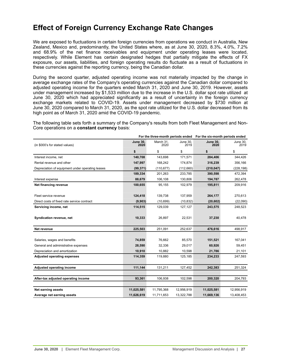## <span id="page-26-0"></span>**Effect of Foreign Currency Exchange Rate Changes**

We are exposed to fluctuations in certain foreign currencies from operations we conduct in Australia, New Zealand, Mexico and, predominantly, the United States where, as at June 30, 2020, 8.3%, 4.0%, 7.2% and 68.9% of the net finance receivables and equipment under operating leases were located, respectively. While Element has certain designated hedges that partially mitigate the effects of FX exposure, our assets, liabilities, and foreign operating results do fluctuate as a result of fluctuations in these currencies against the reporting currency, being the Canadian dollar.

During the second quarter, adjusted operating income was not materially impacted by the change in average exchange rates of the Company's operating currencies against the Canadian dollar compared to adjusted operating income for the quarters ended March 31, 2020 and June 30, 2019. However, assets under management increased by \$1,533 million due to the increase in the U.S. dollar spot rate utilized at June 30, 2020 which had appreciated significantly as a result of uncertainty in the foreign currency exchange markets related to COVID-19. Assets under management decreased by \$730 million at June 30, 2020 compared to March 31, 2020, as the spot rate utilized for the U.S. dollar decreased from its high point as of March 31, 2020 amid the COVID-19 pandemic.

The following table sets forth a summary of the Company's results from both Fleet Management and Non-Core operations on a **constant currency** basis:

|                                                  |                         | For the three-month periods ended |                  | For the six-month periods ended |                  |  |
|--------------------------------------------------|-------------------------|-----------------------------------|------------------|---------------------------------|------------------|--|
| (in \$000's for stated values)                   | <b>June 30.</b><br>2020 | March 31,<br>2020                 | June 30.<br>2019 | <b>June 30.</b><br>2020         | June 30.<br>2019 |  |
|                                                  | \$                      | \$                                | \$               | \$                              | \$               |  |
| Interest income, net                             | 140,708                 | 143,698                           | 171.571          | 284,406                         | 344,426          |  |
| Rental revenue and other                         | 147,997                 | 168,242                           | 174,874          | 316,239                         | 356,166          |  |
| Depreciation of equipment under operating leases | (99, 371)               | (110, 677)                        | (112,660)        | (210, 047)                      | (228, 198)       |  |
|                                                  | 189,334                 | 201,263                           | 233,785          | 390,598                         | 472,394          |  |
| Interest expense                                 | 88,679                  | 106,108                           | 130,806          | 194,787                         | 262,478          |  |
| Net financing revenue                            | 100,655                 | 95,155                            | 102,979          | 195,811                         | 209,916          |  |
|                                                  |                         |                                   |                  |                                 |                  |  |
| Fleet service revenue                            | 124,418                 | 139,738                           | 137,959          | 264,177                         | 270,613          |  |
| Direct costs of fixed rate service contract      | (9,903)                 | (10, 699)                         | (10, 832)        | (20, 602)                       | (22,090)         |  |
| Servicing income, net                            | 114,515                 | 129,039                           | 127,127          | 243,575                         | 248,523          |  |
|                                                  |                         |                                   |                  |                                 |                  |  |
| Syndication revenue, net                         | 10,333                  | 26,897                            | 22,531           | 37,230                          | 40,478           |  |
|                                                  |                         |                                   |                  |                                 |                  |  |
| Net revenue                                      | 225,503                 | 251,091                           | 252,637          | 476,616                         | 498,917          |  |
|                                                  |                         |                                   |                  |                                 |                  |  |
| Salaries, wages and benefits                     | 74,859                  | 76,662                            | 85,570           | 151,521                         | 167,041          |  |
| General and administrative expenses              | 28,590                  | 32,336                            | 29,017           | 60,926                          | 59,451           |  |
| Depreciation and amortization                    | 10,910                  | 10,882                            | 10,598           | 21,786                          | 21,101           |  |
| <b>Adjusted operating expenses</b>               | 114,359                 | 119,880                           | 125,185          | 234,233                         | 247,593          |  |
|                                                  |                         |                                   |                  |                                 |                  |  |
| Adjusted operating income                        | 111,144                 | 131,211                           | 127,452          | 242,383                         | 251,324          |  |
|                                                  |                         |                                   |                  |                                 |                  |  |
| After-tax adjusted operating income              | 93,361                  | 106,938                           | 102,598          | 200,320                         | 204,793          |  |
|                                                  |                         |                                   |                  |                                 |                  |  |
| Net earning assets                               | 11,025,581              | 11,795,368                        | 12,956,919       | 11,025,581                      | 12,956,919       |  |
| Average net earning assets                       | 11,626,619              | 11,711,653                        | 13,322,788       | 11,669,136                      | 13,408,453       |  |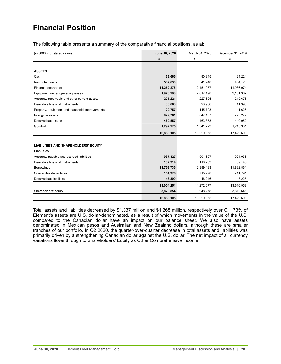# <span id="page-27-0"></span>**Financial Position**

The following table presents a summary of the comparative financial positions, as at:

| (in \$000's for stated values)                 | June 30, 2020 | March 31, 2020 | December 31, 2019 |
|------------------------------------------------|---------------|----------------|-------------------|
|                                                | \$            | \$             | \$                |
|                                                |               |                |                   |
| <b>ASSETS</b>                                  |               |                |                   |
| Cash                                           | 63,665        | 90,845         | 24,224            |
| <b>Restricted funds</b>                        | 567,630       | 541,948        | 434,128           |
| Finance receivables                            | 11,282,278    | 12,451,057     | 11,986,974        |
| Equipment under operating leases               | 1,970,298     | 2,017,498      | 2,101,367         |
| Accounts receivable and other current assets   | 201,221       | 227,605        | 219,676           |
| Derivative financial instruments               | 80,663        | 93,966         | 41,396            |
| Property, equipment and leasehold improvements | 129,757       | 145,703        | 141,626           |
| Intangible assets                              | 829,761       | 847,157        | 793,279           |
| Deferred tax assets                            | 460,557       | 463,353        | 440,952           |
| Goodwill                                       | 1,297,275     | 1,341,223      | 1,245,981         |
|                                                | 16,883,105    | 18,220,355     | 17,429,603        |
|                                                |               |                |                   |
| <b>LIABILITIES AND SHAREHOLDERS' EQUITY</b>    |               |                |                   |
| <b>Liabilities</b>                             |               |                |                   |
| Accounts payable and accrued liabilities       | 937,327       | 991,607        | 924,936           |
| Derivative financial instruments               | 107,314       | 118,763        | 39,145            |
| <b>Borrowings</b>                              | 11,758,735    | 12,399,483     | 11,892,861        |
| Convertible debentures                         | 151,976       | 715,978        | 711,791           |
| Deferred tax liabilities                       | 48,899        | 46,246         | 48,225            |
|                                                | 13,004,251    | 14,272,077     | 13,616,958        |
| Shareholders' equity                           | 3,878,854     | 3,948,278      | 3,812,645         |
|                                                | 16,883,105    | 18,220,355     | 17,429,603        |

Total assets and liabilities decreased by \$1,337 million and \$1,268 million, respectively over Q1. 73% of Element's assets are U.S. dollar-denominated, as a result of which movements in the value of the U.S. compared to the Canadian dollar have an impact on our balance sheet. We also have assets denominated in Mexican pesos and Australian and New Zealand dollars, although these are smaller tranches of our portfolio. In Q2 2020, the quarter-over-quarter decrease in total assets and liabilities was primarily driven by a strengthening Canadian dollar against the U.S. dollar. The net impact of all currency variations flows through to Shareholders' Equity as Other Comprehensive Income.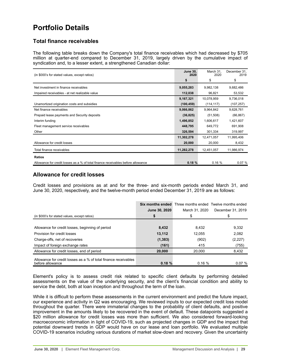## <span id="page-28-0"></span>**Portfolio Details**

## **Total finance receivables**

The following table breaks down the Company's total finance receivables which had decreased by \$705 million at quarter-end compared to December 31, 2019, largely driven by the cumulative impact of syndication and, to a lesser extent, a strengthened Canadian dollar:

| (in \$000's for stated values, except ratios)                                    | <b>June 30,</b><br>2020 | March 31.<br>2020 | December 31,<br>2019 |
|----------------------------------------------------------------------------------|-------------------------|-------------------|----------------------|
|                                                                                  | \$                      | \$                | \$                   |
| Net investment in finance receivables                                            | 9,055,283               | 9,982,138         | 9,682,486            |
| Impaired receivables - at net realizable value                                   | 112,038                 | 96,821            | 53,532               |
|                                                                                  | 9,167,321               | 10,078,959        | 9,736,018            |
| Unamortized origination costs and subsidies                                      | (100, 459)              | (114, 117)        | (107, 257)           |
| Net finance receivables                                                          | 9,066,862               | 9,964,842         | 9,628,761            |
| Prepaid lease payments and Security deposits                                     | (36, 825)               | (51,508)          | (66, 867)            |
| Interim funding                                                                  | 1,496,852               | 1,606,617         | 1,421,607            |
| Fleet management service receivables                                             | 448,795                 | 649,772           | 691,908              |
| Other                                                                            | 326,594                 | 301,334           | 319,997              |
|                                                                                  | 11,302,278              | 12,471,057        | 11,995,406           |
| Allowance for credit losses                                                      | 20,000                  | 20,000            | 8,432                |
| Total finance receivables                                                        | 11,282,278              | 12,451,057        | 11,986,974           |
| <b>Ratios</b>                                                                    |                         |                   |                      |
| Allowance for credit losses as a % of total finance receivables before allowance | 0.18%                   | 0.16%             | 0.07%                |

## **Allowance for credit losses**

Credit losses and provisions as at and for the three- and six-month periods ended March 31, and June 30, 2020, respectively, and the twelve-month period ended December 31, 2019 are as follows:

|                                                                                     | Six months ended |                | Three months ended Twelve months ended |
|-------------------------------------------------------------------------------------|------------------|----------------|----------------------------------------|
|                                                                                     | June 30, 2020    | March 31, 2020 | December 31, 2019                      |
| (in \$000's for stated values, except ratios)                                       |                  |                |                                        |
|                                                                                     |                  |                |                                        |
| Allowance for credit losses, beginning of period                                    | 8,432            | 8,432          | 9,332                                  |
| Provision for credit losses                                                         | 13.112           | 12.055         | 2,082                                  |
| Charge-offs, net of recoveries                                                      | (1, 383)         | (902)          | (2,227)                                |
| Impact of foreign exchange rates                                                    | (161)            | 415            | (755)                                  |
| Allowance for credit losses, end of period                                          | 20,000           | 20.000         | 8,432                                  |
| Allowance for credit losses as a % of total finance receivables<br>before allowance | 0.18%            | 0.16%          | 0.07%                                  |

Element's policy is to assess credit risk related to specific client defaults by performing detailed assessments on the value of the underlying security, and the client's financial condition and ability to service the debt, both at loan inception and throughout the term of the loan.

While it is difficult to perform these assessments in the current environment and predict the future impact, our experience and activity in Q2 was encouraging. We reviewed inputs to our expected credit loss model throughout the quarter. There were immaterial changes to the probability of client defaults, and positive improvement in the amounts likely to be recovered in the event of default. These datapoints suggested a \$20 million allowance for credit losses was more than sufficient. We also considered forward-looking macroeconomic information in light of COVID-19, such as projected changes in GDP and the impact that potential downward trends in GDP would have on our lease and loan portfolio. We evaluated multiple COVID-19 scenarios including various durations of market slow-down and recovery. Given the uncertainty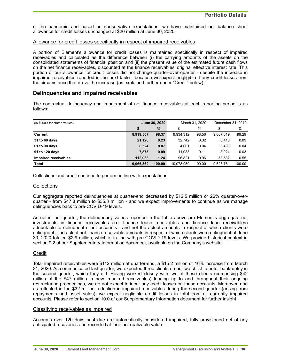of the pandemic and based on conservative expectations, we have maintained our balance sheet allowance for credit losses unchanged at \$20 million at June 30, 2020.

## Allowance for credit losses specifically in respect of impaired receivables

A portion of Element's allowance for credit losses is maintained specifically in respect of impaired receivables and calculated as the difference between (i) the carrying amounts of the assets on the consolidated statements of financial position and (ii) the present value of the estimated future cash flows on the net finance receivables, discounted at the finance receivables' original effective interest rate. This portion of our allowance for credit losses did not change quarter-over-quarter - despite the increase in impaired receivables reported in the next table - because we expect negligible if any credit losses from the circumstance that drove the increase (as explained further under "Credit" below).

## **Delinquencies and impaired receivables**

The contractual delinquency and impairment of net finance receivables at each reporting period is as follows:

| (in \$000's for stated values) | June 30, 2020 |        |            | March 31, 2020 | December 31, 2019 |        |  |
|--------------------------------|---------------|--------|------------|----------------|-------------------|--------|--|
|                                | \$            | $\%$   |            | %              | \$                | %      |  |
| Current                        | 8,919,507     | 98.37  | 9.934.312  | 98.56          | 9,667,619         | 99.29  |  |
| 31 to 60 days                  | 21,120        | 0.23   | 32.742     | 0.32           | 8.410             | 0.09   |  |
| 61 to 90 days                  | 6,324         | 0.07   | 4,001      | 0.04           | 3.433             | 0.04   |  |
| 91 to 120 days                 | 7.873         | 0.09   | 11.083     | 0.11           | 3.024             | 0.03   |  |
| Impaired receivables           | 112.038       | 1.24   | 96.821     | 0.96           | 53.532            | 0.55   |  |
| Total                          | 9,066,862     | 100.00 | 10.078.959 | 100.00         | 9,628,761         | 100.00 |  |

Collections and credit continue to perform in line with expectations.

## **Collections**

Our aggregate reported delinquencies at quarter-end decreased by \$12.5 million or 26% quarter-overquarter - from \$47.8 million to \$35.3 million - and we expect improvements to continue as we manage delinquencies back to pre-COVID-19 levels.

As noted last quarter, the delinquency values reported in the table above are Element's aggregate net investments in finance receivables (i.e. finance lease receivables and finance loan receivables) attributable to delinquent client accounts - and not the actual amounts in respect of which clients were delinquent. The actual net finance receivable amounts in respect of which clients were delinquent at June 30, 2020 totaled \$2.9 million, which is in line with pre-COVID-19 levels. We provide historical context in section 9.2 of our Supplementary Information document, available on the Company's website.

## **Credit**

Total impaired receivables were \$112 million at quarter-end, a \$15.2 million or 16% increase from March 31, 2020. As communicated last quarter, we expected three clients on our watchlist to enter bankruptcy in the second quarter, which they did. Having worked closely with two of these clients (comprising \$42 million of the \$47 million in new impaired receivables) leading up to and throughout their ongoing restructuring proceedings, we do not expect to incur any credit losses on these accounts. Moreover, and as reflected in the \$32 million reduction in impaired receivables during the second quarter (arising from repayments and asset sales), we expect negligible credit losses in total from all currently impaired accounts. Please refer to section 10.0 of our Supplementary Information document for further insight.

## Classifying receivables as impaired

Accounts over 120 days past due are automatically considered impaired, fully provisioned net of any anticipated recoveries and recorded at their net realizable value.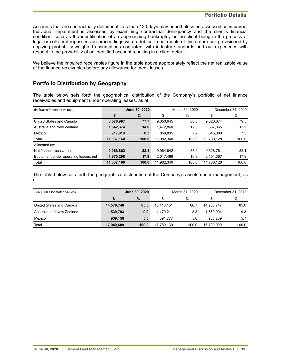Accounts that are contractually delinquent less than 120 days may nonetheless be assessed as impaired. Individual impairment is assessed by examining contractual delinquency and the client's financial condition, such as the identification of an approaching bankruptcy or the client being in the process of legal or collateral repossession proceedings with a debtor. Impairments of this nature are provisioned by applying probability-weighted assumptions consistent with industry standards and our experience with respect to the probability of an identified account resulting in a client default.

We believe the impaired receivables figure in the table above appropriately reflect the net realizable value of the finance receivables before any allowance for credit losses.

## **Portfolio Distribution by Geography**

The table below sets forth the geographical distribution of the Company's portfolio of net finance receivables and equipment under operating leases, as at:

| (in \$000's for stated values)        | June 30, 2020 |       |            | March 31, 2020 | December 31, 2019 |       |  |
|---------------------------------------|---------------|-------|------------|----------------|-------------------|-------|--|
|                                       | \$            | %     | \$         | $\%$           | \$                | %     |  |
| United States and Canada              | 8,576,967     | 77.7  | 9,650,645  | 80.5           | 9,326,874         | 79.5  |  |
| Australia and New Zealand             | 1,542,374     | 14.0  | 1,472,860  | 12.3           | 1,557,365         | 13.2  |  |
| Mexico                                | 917,819       | 8.3   | 858,835    | 7.2            | 845,889           | 7.3   |  |
| Total                                 | 11,037,160    | 100.0 | 11,982,340 | 100.0          | 11,730,128        | 100.0 |  |
| Allocated as:                         |               |       |            |                |                   |       |  |
| Net finance receivables               | 9,066,862     | 82.1  | 9,964,842  | 83.2           | 9,628,761         | 82.1  |  |
| Equipment under operating leases, net | 1,970,298     | 17.9  | 2,017,498  | 16.8           | 2,101,367         | 17.9  |  |
| Total                                 | 11,037,160    | 100.0 | 11,982,340 | 100.0          | 11,730,128        | 100.0 |  |

The table below sets forth the geographical distribution of the Company's assets under management, as at:

| (in \$000's for stated values) | <b>June 30, 2020</b> |       |            | March 31, 2020 | December 31, 2019 |       |  |
|--------------------------------|----------------------|-------|------------|----------------|-------------------|-------|--|
|                                |                      | $\%$  |            | $\%$           | \$                | %     |  |
| United States and Canada       | 14,570,740           | 85.5  | 15.418.151 | 86.7           | 14,203,747        | 85.0  |  |
| Australia and New Zealand      | 1,539,793            | 9.0   | 1.470.211  | 8.3            | 1.550.004         | 9.3   |  |
| Mexico                         | 939.156              | 5.5   | 891.777    | 5.0            | 956.239           | 5.7   |  |
| Total                          | 17,049,689           | 100.0 | 17,780,139 | 100.0          | 16.709.990        | 100.0 |  |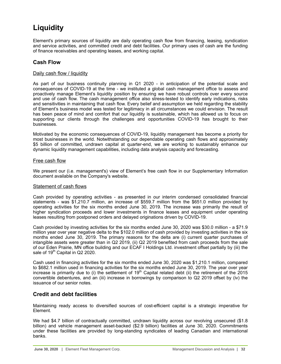# <span id="page-31-0"></span>**Liquidity**

Element's primary sources of liquidity are daily operating cash flow from financing, leasing, syndication and service activities, and committed credit and debt facilities. Our primary uses of cash are the funding of finance receivables and operating leases, and working capital.

## **Cash Flow**

## Daily cash flow / liquidity

As part of our business continuity planning in Q1 2020 - in anticipation of the potential scale and consequences of COVID-19 at the time - we instituted a global cash management office to assess and proactively manage Element's liquidity position by ensuring we have robust controls over every source and use of cash flow. The cash management office also stress-tested to identify early indications, risks and sensitivities in maintaining that cash flow. Every belief and assumption we held regarding the stability of Element's business model was tested for legitimacy in all circumstances we could envision. The result has been peace of mind and comfort that our liquidity is sustainable, which has allowed us to focus on supporting our clients through the challenges and opportunities COVID-19 has brought to their businesses.

Motivated by the economic consequences of COVID-19, liquidity management has become a priority for most businesses in the world. Notwithstanding our dependable operating cash flows and approximately \$5 billion of committed, undrawn capital at quarter-end, we are working to sustainably enhance our dynamic liquidity management capabilities, including data analysis capacity and forecasting.

## Free cash flow

We present our (i.e. management's) view of Element's free cash flow in our Supplementary Information document available on the Company's website.

## Statement of cash flows

Cash provided by operating activities - as presented in our interim condensed consolidated financial statements - was \$1,210.7 million, an increase of \$559.7 million from the \$651.0 million provided by operating activities for the six months ended June 30, 2019. The increase was primarily the result of higher syndication proceeds and lower investments in finance leases and equipment under operating leases resulting from postponed orders and delayed originations driven by COVID-19.

Cash provided by investing activities for the six months ended June 30, 2020 was \$30.0 million - a \$71.9 million year over year negative delta to the \$102.0 million of cash provided by investing activities in the six months ended June 30, 2019. The primary reasons for the delta are (i) current quarter purchases of intangible assets were greater than in Q2 2019, (ii) Q2 2019 benefited from cash proceeds from the sale of our Eden Prairie, MN office building and our ECAF I Holdings Ltd. investment offset partially by (iii) the sale of 19<sup>th</sup> Capital in Q2 2020.

Cash used in financing activities for the six months ended June 30, 2020 was \$1,210.1 million, compared to \$682.1 million used in financing activities for the six months ended June 30, 2019. The year over year increase is primarily due to (i) the settlement of  $19<sup>th</sup>$  Capital related debt (ii) the retirement of the  $2015$ convertible debentures, and an (iii) increase in borrowings by comparison to Q2 2019 offset by (iv) the issuance of our senior notes.

## **Credit and debt facilities**

Maintaining ready access to diversified sources of cost-efficient capital is a strategic imperative for Element.

We had \$4.7 billion of contractually committed, undrawn liquidity across our revolving unsecured (\$1.8 billion) and vehicle management asset-backed (\$2.9 billion) facilities at June 30, 2020. Commitments under these facilities are provided by long-standing syndicates of leading Canadian and international banks.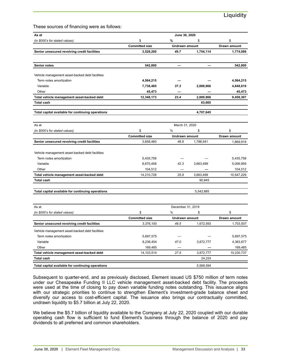These sources of financing were as follows:

| As at                                                                      |                             | June 30, 2020              |           |                      |  |
|----------------------------------------------------------------------------|-----------------------------|----------------------------|-----------|----------------------|--|
| (in \$000's for stated values)                                             | \$                          | %                          | \$        | \$                   |  |
|                                                                            | <b>Committed size</b>       | <b>Undrawn amount</b>      |           | Drawn amount         |  |
| Senior unsecured revolving credit facilities                               | 3,528,200                   | 49.7                       | 1,754,114 | 1,774,086            |  |
| <b>Senior notes</b>                                                        | 542,800                     |                            |           | 542,800              |  |
| Vehicle management asset-backed debt facilities                            |                             |                            |           |                      |  |
| Term notes amortization                                                    | 4,564,215                   |                            |           | 4,564,215            |  |
| Variable                                                                   | 7,738,485                   | 37.3                       | 2,889,866 | 4,848,619            |  |
| Other                                                                      | 45,473                      |                            |           | 45,473               |  |
| Total vehicle management asset-backed debt                                 | 12,348,173                  | 23.4                       | 2,889,866 | 9,458,307            |  |
| <b>Total cash</b>                                                          |                             |                            | 63,665    |                      |  |
| Total capital available for continuing operations                          |                             |                            | 4,707,645 |                      |  |
| As at                                                                      |                             | March 31, 2020             |           |                      |  |
| (in \$000's for stated values)                                             | \$                          | %                          | \$        | \$                   |  |
|                                                                            | <b>Committed size</b>       | Undrawn amount             |           | Drawn amount         |  |
| Senior unsecured revolving credit facilities                               | 3,658,460                   | 48.9                       | 1,788,541 | 1,869,919            |  |
|                                                                            |                             |                            |           |                      |  |
| Vehicle management asset-backed debt facilities<br>Term notes amortization |                             |                            |           |                      |  |
| Variable                                                                   | 5,435,758                   | 42.3                       |           | 5,435,758            |  |
| Other                                                                      | 8,670,458<br>104,512        |                            | 3,663,499 | 5,006,959<br>104,512 |  |
|                                                                            | 14,210,728                  | 25.8                       | 3,663,499 | 10,547,229           |  |
| Total vehicle management asset-backed debt                                 |                             |                            |           |                      |  |
| <b>Total cash</b>                                                          |                             |                            | 90,845    |                      |  |
| Total capital available for continuing operations                          |                             |                            | 5,542,885 |                      |  |
|                                                                            |                             |                            |           |                      |  |
| As at                                                                      |                             | December 31, 2019          |           |                      |  |
| (in \$000's for stated values)                                             | \$<br><b>Committed size</b> | %<br><b>Undrawn amount</b> | \$        | \$<br>Drawn amount   |  |
| Senior unsecured revolving credit facilities                               | 3,376,100                   | 49.5                       | 1,672,593 | 1,703,507            |  |
|                                                                            |                             |                            |           |                      |  |
| Vehicle management asset-backed debt facilities                            |                             |                            |           |                      |  |
| Term notes amortization                                                    | 5,697,575                   |                            |           | 5,697,575            |  |
| Variable                                                                   | 8,236,454                   | 47.0                       | 3,872,777 | 4,363,677            |  |
| Other                                                                      | 169,485                     |                            |           | 169,485              |  |
| Total vehicle management asset-backed debt                                 | 14,103,514                  | 27.5                       | 3,872,777 | 10,230,737           |  |
| <b>Total cash</b>                                                          |                             |                            | 24,224    |                      |  |
| Total capital available for continuing operations                          |                             |                            | 5,569,594 |                      |  |

Subsequent to quarter-end, and as previously disclosed, Element issued US \$750 million of term notes under our Chesapeake Funding II LLC vehicle management asset-backed debt facility. The proceeds were used at the time of closing to pay down variable funding notes outstanding. This issuance aligns with our strategic priorities to continue to strengthen Element's investment-grade balance sheet and diversify our access to cost-efficient capital. The issuance also brings our contractually committed, undrawn liquidity to \$5.7 billion at July 22, 2020.

We believe the \$5.7 billion of liquidity available to the Company at July 22, 2020 coupled with our durable operating cash flow is sufficient to fund Element's business through the balance of 2020 and pay dividends to all preferred and common shareholders.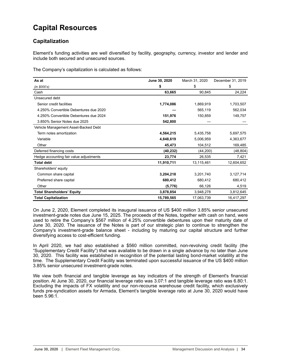# <span id="page-33-0"></span>**Capital Resources**

## **Capitalization**

Element's funding activities are well diversified by facility, geography, currency, investor and lender and include both secured and unsecured sources.

The Company's capitalization is calculated as follows:

| As at                                   | June 30, 2020 | March 31, 2020 | December 31, 2019 |
|-----------------------------------------|---------------|----------------|-------------------|
| (in \$000's)                            | \$            | \$             | \$                |
| Cash                                    | 63,665        | 90,845         | 24,224            |
| Unsecured debt                          |               |                |                   |
| Senior credit facilities                | 1,774,086     | 1,869,919      | 1,703,507         |
| 4.250% Convertible Debentures due 2020  |               | 565,119        | 562,034           |
| 4.250% Convertible Debentures due 2024  | 151,976       | 150,859        | 149,757           |
| 3.850% Senior Notes due 2025            | 542,800       |                |                   |
| Vehicle Management Asset-Backed Debt    |               |                |                   |
| Term notes amortization                 | 4,564,215     | 5,435,758      | 5,697,575         |
| Variable                                | 4,848,619     | 5,006,959      | 4,363,677         |
| Other                                   | 45,473        | 104,512        | 169,485           |
| Deferred financing costs                | (40, 232)     | (44, 200)      | (48, 804)         |
| Hedge accounting fair value adjustments | 23,774        | 26,535         | 7,421             |
| <b>Total debt</b>                       | 11,910,711    | 13,115,461     | 12,604,652        |
| Shareholders' equity                    |               |                |                   |
| Common share capital                    | 3,204,218     | 3,201,740      | 3,127,714         |
| Preferred share capital                 | 680,412       | 680,412        | 680,412           |
| Other                                   | (5,776)       | 66,126         | 4,519             |
| <b>Total Shareholders' Equity</b>       | 3,878,854     | 3,948,278      | 3,812,645         |
| <b>Total Capitalization</b>             | 15,789,565    | 17,063,739     | 16,417,297        |

On June 2, 2020, Element completed its inaugural issuance of US \$400 million 3.85% senior unsecured investment-grade notes due June 15, 2025. The proceeds of the Notes, together with cash on hand, were used to retire the Company's \$567 million of 4.25% convertible debentures upon their maturity date of June 30, 2020. The issuance of the Notes is part of our strategic plan to continue to strengthen the Company's investment-grade balance sheet - including by maturing our capital structure and further diversifying access to cost-efficient funding.

In April 2020, we had also established a \$560 million committed, non-revolving credit facility (the "Supplementary Credit Facility") that was available to be drawn in a single advance by no later than June 30, 2020. This facility was established in recognition of the potential lasting bond-market volatility at the time. The Supplementary Credit Facility was terminated upon successful issuance of the US \$400 million 3.85% senior unsecured investment-grade notes.

We view both financial and tangible leverage as key indicators of the strength of Element's financial position. At June 30, 2020, our financial leverage ratio was 3.07:1 and tangible leverage ratio was 6.80:1. Excluding the impacts of FX volatility and our non-recourse warehouse credit facility, which exclusively funds pre-syndication assets for Armada, Element's tangible leverage ratio at June 30, 2020 would have been 5.96:1.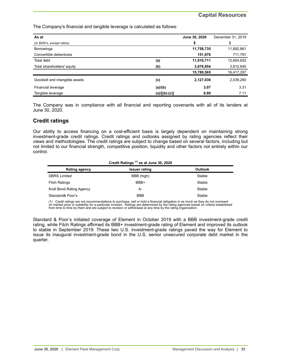The Company's financial and tangible leverage is calculated as follows:

| As at                          |                 | June 30, 2020 | December 31, 2019 |
|--------------------------------|-----------------|---------------|-------------------|
| (in \$000's, except ratios)    |                 | \$            | \$                |
| <b>Borrowings</b>              |                 | 11,758,735    | 11,892,861        |
| Convertible debentures         |                 | 151,976       | 711,791           |
| Total debt                     | (a)             | 11,910,711    | 12,604,652        |
| Total shareholders' equity     | (b)             | 3,878,854     | 3,812,645         |
|                                |                 | 15,789,565    | 16,417,297        |
| Goodwill and intangible assets | (c)             | 2,127,036     | 2,039,260         |
| Financial leverage             | (a)/(b)         | 3.07          | 3.31              |
| Tangible leverage              | $(a)/[(b)-(c)]$ | 6.80          | 7.11              |

The Company was in compliance with all financial and reporting covenants with all of its lenders at June 30, 2020.

## **Credit ratings**

Our ability to access financing on a cost-efficient basis is largely dependent on maintaining strong investment-grade credit ratings. Credit ratings and outlooks assigned by rating agencies reflect their views and methodologies. The credit ratings are subject to change based on several factors, including but not limited to our financial strength, competitive position, liquidity and other factors not entirely within our control.

| Credit Ratings <sup>(1)</sup> as at June 30, 2020 |                      |                |  |  |  |  |  |
|---------------------------------------------------|----------------------|----------------|--|--|--|--|--|
| Rating agency                                     | <b>Issuer rating</b> | <b>Outlook</b> |  |  |  |  |  |
| <b>DBRS</b> Limited                               | BBB (high)           | Stable         |  |  |  |  |  |
| <b>Fitch Ratings</b>                              | BBB+                 | Stable         |  |  |  |  |  |
| Kroll Bond Rating Agency                          | A-                   | Stable         |  |  |  |  |  |
| Standard& Poor's                                  | <b>BBB</b>           | Stable         |  |  |  |  |  |

(1) Credit ratings are not recommendations to purchase, sell or hold a financial obligation in as much as they do not comment on market price or suitability for a particular investor. Ratings are determined by the rating agencies based on criteria established from time to time by them and are subject to revision or withdrawal at any time by the rating organization.

Standard & Poor's initiated coverage of Element in October 2019 with a BBB investment-grade credit rating, while Fitch Ratings affirmed its BBB+ investment-grade rating of Element and improved its outlook to stable in September 2019. These two U.S. investment-grade ratings paved the way for Element to issue its inaugural investment-grade bond in the U.S. senior unsecured corporate debt market in the quarter.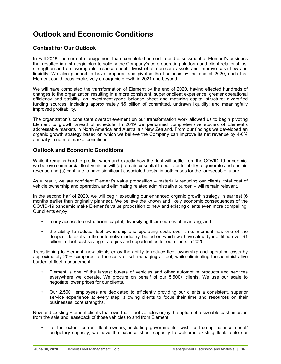# <span id="page-35-0"></span>**Outlook and Economic Conditions**

## **Context for Our Outlook**

In Fall 2018, the current management team completed an end-to-end assessment of Element's business that resulted in a strategic plan to solidify the Company's core operating platform and client relationships, strengthen and de-leverage its balance sheet, divest of all non-core assets and improve cash flow and liquidity. We also planned to have prepared and pivoted the business by the end of 2020, such that Element could focus exclusively on organic growth in 2021 and beyond.

We will have completed the transformation of Element by the end of 2020, having effected hundreds of changes to the organization resulting in a more consistent, superior client experience; greater operational efficiency and stability; an investment-grade balance sheet and maturing capital structure; diversified funding sources, including approximately \$5 billion of committed, undrawn liquidity; and meaningfully improved profitability.

The organization's consistent overachievement on our transformation work allowed us to begin pivoting Element to growth ahead of schedule. In 2019 we performed comprehensive studies of Element's addressable markets in North America and Australia / New Zealand. From our findings we developed an organic growth strategy based on which we believe the Company can improve its net revenue by 4-6% annually in normal market conditions.

## **Outlook and Economic Conditions**

While it remains hard to predict when and exactly how the dust will settle from the COVID-19 pandemic, we believe commercial fleet vehicles will (a) remain essential to our clients' ability to generate and sustain revenue and (b) continue to have significant associated costs, in both cases for the foreseeable future.

As a result, we are confident Element's value proposition – materially reducing our clients' total cost of vehicle ownership and operation, and eliminating related administrative burden – will remain relevant.

In the second half of 2020, we will begin executing our enhanced organic growth strategy in earnest (6 months earlier than originally planned). We believe the known and likely economic consequences of the COVID-19 pandemic make Element's value proposition to new and existing clients even more compelling. Our clients enjoy:

- ready access to cost-efficient capital, diversifying their sources of financing; and
- the ability to reduce fleet ownership and operating costs over time. Element has one of the deepest datasets in the automotive industry, based on which we have already identified over \$1 billion in fleet-cost-saving strategies and opportunities for our clients in 2020.

Transitioning to Element, new clients enjoy the ability to reduce fleet ownership and operating costs by approximately 20% compared to the costs of self-managing a fleet, while eliminating the administrative burden of fleet management.

- Element is one of the largest buyers of vehicles and other automotive products and services everywhere we operate. We procure on behalf of our 5,500+ clients. We use our scale to negotiate lower prices for our clients.
- Our 2,500+ employees are dedicated to efficiently providing our clients a consistent, superior service experience at every step, allowing clients to focus their time and resources on their businesses' core strengths.

New and existing Element clients that own their fleet vehicles enjoy the option of a sizeable cash infusion from the sale and leaseback of those vehicles to and from Element.

• To the extent current fleet owners, including governments, wish to free-up balance sheet/ budgetary capacity, we have the balance sheet capacity to welcome existing fleets onto our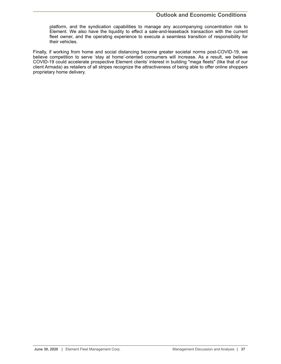## **Outlook and Economic Conditions**

platform, and the syndication capabilities to manage any accompanying concentration risk to Element. We also have the liquidity to effect a sale-and-leaseback transaction with the current fleet owner, and the operating experience to execute a seamless transition of responsibility for their vehicles.

Finally, if working from home and social distancing become greater societal norms post-COVID-19, we believe competition to serve 'stay at home'-oriented consumers will increase. As a result, we believe COVID-19 could accelerate prospective Element clients' interest in building "mega fleets" (like that of our client Armada) as retailers of all stripes recognize the attractiveness of being able to offer online shoppers proprietary home delivery.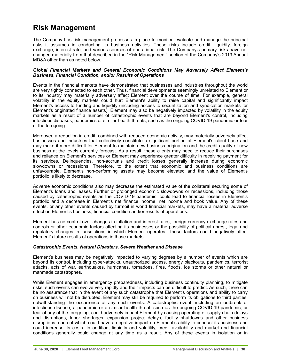## <span id="page-37-0"></span>**Risk Management**

The Company has risk management processes in place to monitor, evaluate and manage the principal risks it assumes in conducting its business activities. These risks include credit, liquidity, foreign exchange, interest rate, and various sources of operational risk. The Company's primary risks have not changed materially from that described in the "Risk Management" section of the Company's 2019 Annual MD&A other than as noted below.

### *Global Financial Markets and General Economic Conditions May Adversely Affect Element's Business, Financial Condition, and/or Results of Operations*

Events in the financial markets have demonstrated that businesses and industries throughout the world are very tightly connected to each other. Thus, financial developments seemingly unrelated to Element or to its industry may materially adversely affect Element over the course of time. For example, general volatility in the equity markets could hurt Element's ability to raise capital and significantly impact Element's access to funding and liquidity (including access to securitization and syndication markets for Element's originated finance assets). Element may also be negatively impacted by volatility in the equity markets as a result of a number of catastrophic events that are beyond Element's control, including infectious diseases, pandemics or similar health threats, such as the ongoing COVID-19 pandemic or fear of the foregoing.

Moreover, a reduction in credit, combined with reduced economic activity, may materially adversely affect businesses and industries that collectively constitute a significant portion of Element's client base and may make it more difficult for Element to maintain new business origination and the credit quality of new business at the levels currently forecast. As a result, these clients may need to reduce their purchases and reliance on Element's services or Element may experience greater difficulty in receiving payment for its services. Delinquencies, non-accruals and credit losses generally increase during economic slowdowns or recessions. Therefore, to the extent that economic and business conditions are unfavourable, Element's non-performing assets may become elevated and the value of Element's portfolio is likely to decrease.

Adverse economic conditions also may decrease the estimated value of the collateral securing some of Element's loans and leases. Further or prolonged economic slowdowns or recessions, including those caused by catastrophic events as the COVID-19 pandemic, could lead to financial losses in Element's portfolio and a decrease in Element's net finance income, net income and book value. Any of these events, or any other events caused by turmoil in world financial markets, may have a material adverse effect on Element's business, financial condition and/or results of operations.

Element has no control over changes in inflation and interest rates, foreign currency exchange rates and controls or other economic factors affecting its businesses or the possibility of political unrest, legal and regulatory changes in jurisdictions in which Element operates. These factors could negatively affect Element's future results of operations in those markets.

## *Catastrophic Events, Natural Disasters, Severe Weather and Disease*

Element's business may be negatively impacted to varying degrees by a number of events which are beyond its control, including cyber-attacks, unauthorized access, energy blackouts, pandemics, terrorist attacks, acts of war, earthquakes, hurricanes, tornadoes, fires, floods, ice storms or other natural or manmade catastrophes.

While Element engages in emergency preparedness, including business continuity planning, to mitigate risks, such events can evolve very rapidly and their impacts can be difficult to predict. As such, there can be no assurance that in the event of any such catastrophe that Element's operations and ability to carry on business will not be disrupted. Element may still be required to perform its obligations to third parties, notwithstanding the occurrence of any such events. A catastrophic event, including an outbreak of infectious disease, a pandemic or a similar health threat, such as the ongoing COVID-19 pandemic, or fear of any of the foregoing, could adversely impact Element by causing operating or supply chain delays and disruptions, labor shortages, expansion project delays, facility shutdowns and other business disruptions, each of which could have a negative impact on Element's ability to conduct its business and could increase its costs. In addition, liquidity and volatility, credit availability and market and financial conditions generally could change at any time as a result. Any of these events in isolation or in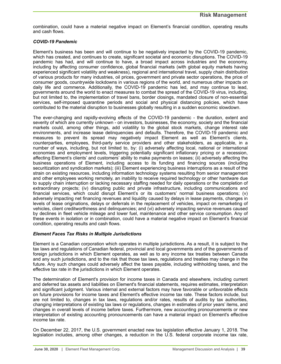combination, could have a material negative impact on Element's financial condition, operating results and cash flows.

## *COVID-19 Pandemic*

Element's business has been and will continue to be negatively impacted by the COVID-19 pandemic, which has created, and continues to create, significant societal and economic disruptions. The COVID-19 pandemic has had, and will continue to have, a broad impact across industries and the economy, including by affecting consumer confidence, global financial markets (with global equity markets having experienced significant volatility and weakness), regional and international travel, supply chain distribution of various products for many industries, oil prices, government and private sector operations, the price of consumer goods, countrywide lockdowns in various regions of the world, and numerous other impacts on daily life and commerce. Additionally, the COVID-19 pandemic has led, and may continue to lead, governments around the world to enact measures to combat the spread of the COVID-19 virus, including, but not limited to, the implementation of travel bans, border closings, mandated closure of non-essential services, self-imposed quarantine periods and social and physical distancing policies, which have contributed to the material disruption to businesses globally resulting in a sudden economic slowdown.

The ever-changing and rapidly-evolving effects of the COVID-19 pandemic - the duration, extent and severity of which are currently unknown - on investors, businesses, the economy, society and the financial markets could, among other things, add volatility to the global stock markets, change interest rate environments, and increase lease delinquencies and defaults. Therefore, the COVID-19 pandemic and measures to prevent its spread may negatively impact Element as well as Element's clients, counterparties, employees, third-party service providers and other stakeholders, as applicable, in a number of ways, including, but not limited to, by: (i) adversely affecting local, national or international economies and employment levels, triggering potentially significant inflationary pricing or a recession, affecting Element's clients' and customers' ability to make payments on leases; (ii) adversely affecting the business operations of Element, including access to its funding and financing sources (including securitization and syndication markets); (iii) Element experiencing business interruptions as a result of the strain on existing resources, including information technology systems resulting from senior management and other employees working remotely, an inability to receive required technology or other hardware due to supply chain interruption or lacking necessary staffing needed for daily operations or the completion of extraordinary projects; (iv) disrupting public and private infrastructure, including communications and financial services, which could disrupt Element's or its customers' normal business operations; (v) adversely impacting net financing revenues and liquidity caused by delays in lease payments, changes in levels of lease originations, delays or deferrals in the replacement of vehicles, impact on remarketing of vehicles, client creditworthiness and delinquencies; and (vi) adversely impacting service revenues caused by declines in fleet vehicle mileage and lower fuel, maintenance and other service consumption. Any of these events in isolation or in combination, could have a material negative impact on Element's financial condition, operating results and cash flows.

## *Element Faces Tax Risks in Multiple Jurisdictions*

Element is a Canadian corporation which operates in multiple jurisdictions. As a result, it is subject to the tax laws and regulations of Canadian federal, provincial and local governments and of the governments of foreign jurisdictions in which Element operates, as well as to any income tax treaties between Canada and any such jurisdictions, and to the risk that those tax laws, regulations and treaties may change in the future. Any such changes could adversely affect the taxes payable, including withholding taxes, and the effective tax rate in the jurisdictions in which Element operates.

The determination of Element's provision for income taxes in Canada and elsewhere, including current and deferred tax assets and liabilities on Element's financial statements, requires estimates, interpretation and significant judgment. Various internal and external factors may have favorable or unfavorable effects on future provisions for income taxes and Element's effective income tax rate. These factors include, but are not limited to, changes in tax laws, regulations and/or rates, results of audits by tax authorities, changing interpretations of existing tax laws or regulations, changes in estimates of prior years' items, and changes in overall levels of income before taxes. Furthermore, new accounting pronouncements or new interpretation of existing accounting pronouncements can have a material impact on Element's effective income tax rate.

On December 22, 2017, the U.S. government enacted new tax legislation effective January 1, 2018. The legislation includes, among other changes, a reduction in the U.S. federal corporate income tax rate,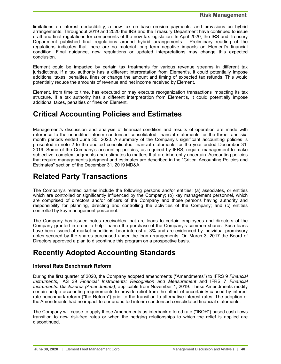<span id="page-39-0"></span>limitations on interest deductibility, a new tax on base erosion payments, and provisions on hybrid arrangements. Throughout 2019 and 2020 the IRS and the Treasury Department have continued to issue draft and final regulations for components of the new tax legislation. In April 2020, the IRS and Treasury Department published final regulations around hybrid arrangements. Preliminary reading of the regulations indicates that there are no material long term negative impacts on Element's financial condition. Final guidance, new regulations or updated interpretations may change this expected conclusion.

Element could be impacted by certain tax treatments for various revenue streams in different tax jurisdictions. If a tax authority has a different interpretation from Element's, it could potentially impose additional taxes, penalties, fines or change the amount and timing of expected tax refunds. This would potentially reduce the amounts of revenue and net income received by Element.

Element, from time to time, has executed or may execute reorganization transactions impacting its tax structure. If a tax authority has a different interpretation from Element's, it could potentially impose additional taxes, penalties or fines on Element.

## **Critical Accounting Policies and Estimates**

Management's discussion and analysis of financial condition and results of operation are made with reference to the unaudited interim condensed consolidated financial statements for the three- and sixmonth periods ended June 30, 2020. A summary of the Company's significant accounting policies is presented in note 2 to the audited consolidated financial statements for the year ended December 31, 2019. Some of the Company's accounting policies, as required by IFRS, require management to make subjective, complex judgments and estimates to matters that are inherently uncertain. Accounting policies that require management's judgment and estimates are described in the "Critical Accounting Policies and Estimates" section of the December 31, 2019 MD&A.

## **Related Party Transactions**

The Company's related parties include the following persons and/or entities: (a) associates, or entities which are controlled or significantly influenced by the Company; (b) key management personnel, which are comprised of directors and/or officers of the Company and those persons having authority and responsibility for planning, directing and controlling the activities of the Company; and (c) entities controlled by key management personnel.

The Company has issued notes receivables that are loans to certain employees and directors of the Company granted in order to help finance the purchase of the Company's common shares. Such loans have been issued at market conditions, bear interest at 3% and are evidenced by individual promissory notes secured by the shares purchased under the loan arrangements. On March 3, 2017 the Board of Directors approved a plan to discontinue this program on a prospective basis.

## **Recently Adopted Accounting Standards**

## **Interest Rate Benchmark Reform**

During the first quarter of 2020, the Company adopted amendments ("Amendments") to IFRS 9 *Financial Instruments*, IAS 39 *Financial Instruments: Recognition and Measurement* and IFRS 7 *Financial Instruments: Disclosures (Amendments)*, applicable from November 1, 2019. These Amendments modify certain hedge accounting requirements to provide relief from the effect of uncertainty caused by interest rate benchmark reform ("the Reform") prior to the transition to alternative interest rates. The adoption of the Amendments had no impact to our unaudited interim condensed consolidated financial statements.

The Company will cease to apply these Amendments as interbank offered rate ("IBOR") based cash flows transition to new risk-free rates or when the hedging relationships to which the relief is applied are discontinued.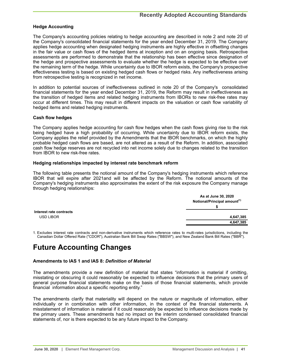## <span id="page-40-0"></span>**Hedge Accounting**

The Company's accounting policies relating to hedge accounting are described in note 2 and note 20 of the Company's consolidated financial statements for the year ended December 31, 2019. The Company applies hedge accounting when designated hedging instruments are highly effective in offsetting changes in the fair value or cash flows of the hedged items at inception and on an ongoing basis. Retrospective assessments are performed to demonstrate that the relationship has been effective since designation of the hedge and prospective assessments to evaluate whether the hedge is expected to be effective over the remaining term of the hedge. While uncertainty due to IBOR reform exists, the Company's prospective effectiveness testing is based on existing hedged cash flows or hedged risks. Any ineffectiveness arising from retrospective testing is recognized in net income.

In addition to potential sources of ineffectiveness outlined in note 20 of the Company's consolidated financial statements for the year ended December 31, 2019, the Reform may result in ineffectiveness as the transition of hedged items and related hedging instruments from IBORs to new risk-free rates may occur at different times. This may result in different impacts on the valuation or cash flow variability of hedged items and related hedging instruments.

## **Cash flow hedges**

The Company applies hedge accounting for cash flow hedges when the cash flows giving rise to the risk being hedged have a high probability of occurring. While uncertainty due to IBOR reform exists, the Company applies the relief provided by the Amendments that the IBOR benchmarks, on which the highly probable hedged cash flows are based, are not altered as a result of the Reform. In addition, associated cash flow hedge reserves are not recycled into net income solely due to changes related to the transition from IBOR to new risk-free rates.

#### **Hedging relationships impacted by interest rate benchmark reform**

The following table presents the notional amount of the Company's hedging instruments which reference IBOR that will expire after 2021and will be affected by the Reform. The notional amounts of the Company's hedging instruments also approximates the extent of the risk exposure the Company manage through hedging relationships:

|                         | As at June 30, 2020                      |
|-------------------------|------------------------------------------|
|                         | Notional/Principal amount <sup>(1)</sup> |
|                         |                                          |
| Interest rate contracts |                                          |
| <b>USD LIBOR</b>        | 4,647,385                                |
|                         | 4,647,385                                |

1. Excludes interest rate contracts and non-derivative instruments which reference rates to multi-rates jurisdictions, including the Canadian Dollar Offered Rate ("CDOR"), Australian Bank Bill Swap Rates ("BBSW"), and New Zealand Bank Bill Rates ("BBR").

## **Future Accounting Changes**

## **Amendments to IAS 1 and IAS 8:** *Definition of Material*

The amendments provide a new definition of material that states "information is material if omitting, misstating or obscuring it could reasonably be expected to influence decisions that the primary users of general purpose financial statements make on the basis of those financial statements, which provide financial information about a specific reporting entity."

The amendments clarify that materiality will depend on the nature or magnitude of information, either individually or in combination with other information, in the context of the financial statements. A misstatement of information is material if it could reasonably be expected to influence decisions made by the primary users. These amendments had no impact on the interim condensed consolidated financial statements of, nor is there expected to be any future impact to the Company.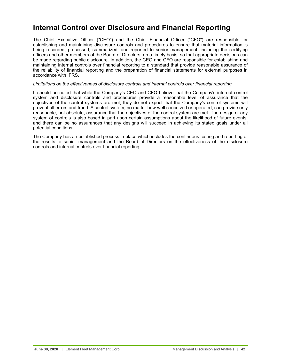## **Internal Control over Disclosure and Financial Reporting**

The Chief Executive Officer ("CEO") and the Chief Financial Officer ("CFO") are responsible for establishing and maintaining disclosure controls and procedures to ensure that material information is being recorded, processed, summarized, and reported to senior management, including the certifying officers and other members of the Board of Directors, on a timely basis, so that appropriate decisions can be made regarding public disclosure. In addition, the CEO and CFO are responsible for establishing and maintaining internal controls over financial reporting to a standard that provide reasonable assurance of the reliability of financial reporting and the preparation of financial statements for external purposes in accordance with IFRS.

#### *Limitations on the effectiveness of disclosure controls and internal controls over financial reporting*

It should be noted that while the Company's CEO and CFO believe that the Company's internal control system and disclosure controls and procedures provide a reasonable level of assurance that the objectives of the control systems are met, they do not expect that the Company's control systems will prevent all errors and fraud. A control system, no matter how well conceived or operated, can provide only reasonable, not absolute, assurance that the objectives of the control system are met. The design of any system of controls is also based in part upon certain assumptions about the likelihood of future events, and there can be no assurances that any designs will succeed in achieving its stated goals under all potential conditions.

The Company has an established process in place which includes the continuous testing and reporting of the results to senior management and the Board of Directors on the effectiveness of the disclosure controls and internal controls over financial reporting.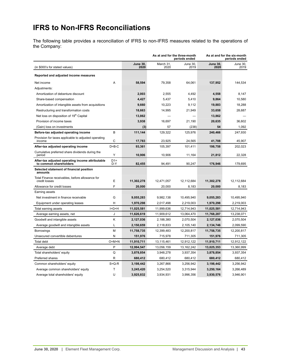# <span id="page-42-0"></span>**IFRS to Non-IFRS Reconciliations**

The following table provides a reconciliation of IFRS to non-IFRS measures related to the operations of the Company:

|                                                                            |              |                         | As at and for the three-month<br>periods ended |                  | As at and for the six-month<br>periods ended |                  |  |  |
|----------------------------------------------------------------------------|--------------|-------------------------|------------------------------------------------|------------------|----------------------------------------------|------------------|--|--|
| (in \$000's for stated values)                                             |              | <b>June 30,</b><br>2020 | March 31,<br>2020                              | June 30,<br>2019 | <b>June 30,</b><br>2020                      | June 30,<br>2019 |  |  |
| Reported and adjusted income measures                                      |              |                         |                                                |                  |                                              |                  |  |  |
| Net income                                                                 | Α            | 58,594                  | 79,358                                         | 64,061           | 137,952                                      | 144,534          |  |  |
| Adjustments:                                                               |              |                         |                                                |                  |                                              |                  |  |  |
| Amortization of debenture discount                                         |              | 2,003                   | 2,555                                          | 4,492            | 4,558                                        | 8,147            |  |  |
| Share-based compensation                                                   |              | 4,427                   | 5,437                                          | 5,410            | 9,864                                        | 10,580           |  |  |
| Amortization of intangible assets from acquisitions                        |              | 9,660                   | 10,223                                         | 9,112            | 19,883                                       | 18,288           |  |  |
| Restructuring and transformation costs                                     |              | 18,663                  | 14,995                                         | 21,949           | 33,658                                       | 28,687           |  |  |
| Net loss on disposition of 19th Capital                                    |              | 13,862                  |                                                |                  | 13,862                                       |                  |  |  |
| Provision of income taxes                                                  |              | 3,938                   | 16,697                                         | 21,190           | 20,635                                       | 36,602           |  |  |
| (Gain) loss on investments                                                 |              | (3)                     | 57                                             | (238)            | 54                                           | 1,092            |  |  |
| Before-tax adjusted operating income                                       | В            | 111,144                 | 129,322                                        | 125,976          | 240,466                                      | 247,930          |  |  |
| Provision for taxes applicable to adjusted operating<br>income             | С            | 17,783                  | 23,925                                         | 24,565           | 41,708                                       | 45,907           |  |  |
| After-tax adjusted operating income                                        | $D = B - C$  | 93,361                  | 105,397                                        | 101,411          | 198,758                                      | 202,023          |  |  |
| Cumulative preferred share dividends during the<br>period                  | Y            | 10,906                  | 10.906                                         | 11,164           | 21.812                                       | 22,328           |  |  |
| After-tax adjusted operating income attributable<br>to common shareholders | $D1=$<br>D-Y | 82,455                  | 94,491                                         | 90.247           | 176,946                                      | 179,695          |  |  |
| Selected statement of financial position<br>amounts                        |              |                         |                                                |                  |                                              |                  |  |  |
| Total Finance receivables, before allowance for<br>credit losses           | E            | 11,302,278              | 12,471,057                                     | 12,112,684       | 11,302,278                                   | 12,112,684       |  |  |
| Allowance for credit losses                                                | F            | 20,000                  | 20,000                                         | 8,183            | 20,000                                       | 8,183            |  |  |
| Earning assets                                                             |              |                         |                                                |                  |                                              |                  |  |  |
| Net investment in finance receivable                                       | G            | 9,055,283               | 9,982,138                                      | 10,495,940       | 9,055,283                                    | 10,495,940       |  |  |
| Equipment under operating leases                                           | н            | 1,970,298               | 2,017,498                                      | 2,219,003        | 1,970,298                                    | 2,219,003        |  |  |
| Total earning assets                                                       | $I = G + H$  | 11,025,581              | 11,999,636                                     | 12,714,943       | 11,025,581                                   | 12,714,943       |  |  |
| Average earning assets, net                                                | J            | 11,626,619              | 11,909,612                                     | 13,064,470       | 11,768,287                                   | 13,238,071       |  |  |
| Goodwill and intangible assets                                             | K            | 2,127,036               | 2,188,380                                      | 2,070,504        | 2,127,036                                    | 2,070,504        |  |  |
| Average goodwill and intangible assets                                     | L            | 2,150,659               | 2,118,833                                      | 2,105,140        | 2,134,746                                    | 2,099,590        |  |  |
| Borrowings                                                                 | М            | 11,758,735              | 12,399,483                                     | 12,200,817       | 11,758,735                                   | 12,200,817       |  |  |
| Unsecured convertible debentures                                           | N            | 151,976                 | 715,978                                        | 711,305          | 151,976                                      | 711,305          |  |  |
| <b>Total debt</b>                                                          | $O=M+N$      | 11,910,711              | 13,115,461                                     | 12,912,122       | 11,910,711                                   | 12,912,122       |  |  |
| Average debt                                                               | P            | 12,994,547              | 13,056,159                                     | 13, 162, 242     | 13,025,353                                   | 13,360,999       |  |  |
| Total shareholders' equity                                                 | Q            | 3,878,854               | 3,948,278                                      | 3,937,354        | 3,878,854                                    | 3,937,354        |  |  |
| Preferred shares                                                           | R            | 680,412                 | 680,412                                        | 680,412          | 680,412                                      | 680,412          |  |  |
| Common shareholders' equity                                                | $S = Q - R$  | 3,198,442               | 3,267,866                                      | 3,256,942        | 3,198,442                                    | 3,256,942        |  |  |
| Average common shareholders' equity                                        | T            | 3,245,420               | 3,254,520                                      | 3,315,944        | 3,250,164                                    | 3,266,489        |  |  |
| Average total shareholders' equity                                         | U            | 3,925,832               | 3,934,931                                      | 3,996,356        | 3,930,576                                    | 3,946,901        |  |  |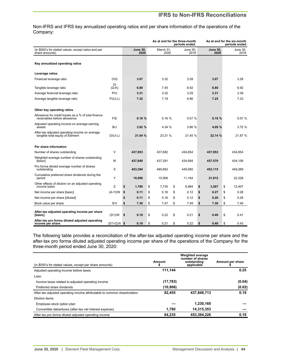## **IFRS to Non-IFRS Reconciliations**

Non-IFRS and IFRS key annualized operating ratios and per share information of the operations of the Company:

|                                                                                     |               |                         |                   | As at and for the three-month<br>periods ended |                         | As at and for the six-month<br>periods ended |
|-------------------------------------------------------------------------------------|---------------|-------------------------|-------------------|------------------------------------------------|-------------------------|----------------------------------------------|
| (in \$000's for stated values, except ratios and per<br>share amounts)              |               | <b>June 30.</b><br>2020 | March 31.<br>2020 | June 30.<br>2019                               | <b>June 30.</b><br>2020 | June 30,<br>2019                             |
| Key annualized operating ratios                                                     |               |                         |                   |                                                |                         |                                              |
| Leverage ratios                                                                     |               |                         |                   |                                                |                         |                                              |
| Financial leverage ratio                                                            | O/Q           | 3.07                    | 3.32              | 3.28                                           | 3.07                    | 3.28                                         |
| Tangible leverage ratio                                                             | O/<br>$(Q-K)$ | 6.80                    | 7.45              | 6.92                                           | 6.80                    | 6.92                                         |
| Average financial leverage ratio                                                    | P/U           | 3.31                    | 3.32              | 3.29                                           | 3.31                    | 3.39                                         |
| Average tangible leverage ratio                                                     | $P/(U-L)$     | 7.32                    | 7.19              | 6.96                                           | 7.25                    | 7.23                                         |
| Other key operating ratios                                                          |               |                         |                   |                                                |                         |                                              |
| Allowance for credit losses as a % of total finance<br>receivables before allowance | F/E           | 0.18%                   | 0.16%             | 0.07%                                          | 0.18%                   | 0.07%                                        |
| Adjusted operating income on average earning<br>assets                              | B/J           | 3.82%                   | 4.34 %            | 3.86 %                                         | 4.09 %                  | 3.75%                                        |
| After-tax adjusted operating income on average<br>tangible total equity of Element  | $D/(U-L)$     | 21.04 %                 | 23.21 %           | 21.45 %                                        | 22.14 %                 | 21.87 %                                      |
| Per share information                                                               |               |                         |                   |                                                |                         |                                              |
| Number of shares outstanding                                                        | V             | 437,953                 | 437,682           | 434,854                                        | 437,953                 | 434,854                                      |
| Weighted average number of shares outstanding<br>[basic]                            | W             | 437,849                 | 437,291           | 434,694                                        | 437,570                 | 434,158                                      |
| Pro forma diluted average number of shares<br>outstanding                           | X             | 453,394                 | 485,662           | 449,560                                        | 453,115                 | 449,269                                      |
| Cumulative preferred share dividends during the<br>period                           | Y             | 10,906                  | 10.906            | 11.164                                         | 21,812                  | 22,328                                       |
| Other effects of dilution on an adjusted operating<br>income basis                  | z             | \$<br>1.780             | \$<br>7.735       | \$<br>6,984                                    | \$<br>3,507             | \$<br>12,407                                 |
| Net income per share [basic]                                                        | $(A-Y)/W$     | \$<br>0.11              | \$<br>0.16        | \$<br>0.12                                     | \$<br>0.27              | \$<br>0.28                                   |
| Net income per share [diluted]                                                      |               | \$<br>0.11              | \$<br>0.16        | \$<br>0.12                                     | \$<br>0.26              | \$<br>0.28                                   |
| Book value per share                                                                | S/V           | \$<br>7.30              | \$<br>7.47        | \$<br>7.49                                     | \$<br>7.30              | \$<br>7.49                                   |
| After-tax adjusted operating income per share<br>[basic]                            | (D1)/W        | \$<br>0.19              | \$<br>0.22        | \$<br>0.21                                     | \$<br>0.40              | \$<br>0.41                                   |
| After-tax pro forma diluted adjusted operating<br>income per share                  | $(D1+Z)/X$ \$ | 0.19                    | \$<br>0.21        | \$<br>0.22                                     | \$<br>0.40              | \$<br>0.43                                   |

The following table provides a reconciliation of the after-tax adjusted operating income per share and the after-tax pro forma diluted adjusted operating income per share of the operations of the Company for the three-month period ended June 30, 2020:

|                                                                         |           | <b>Weighted average</b><br>number of shares |                  |
|-------------------------------------------------------------------------|-----------|---------------------------------------------|------------------|
| (in \$000's for stated values, except per share amounts)                | Amount    | outstanding<br>applicable                   | Amount per share |
| Adjusted operating income before taxes                                  | 111.144   |                                             | 0.25             |
| Less:                                                                   |           |                                             |                  |
| Income taxes related to adjusted operating income                       | (17, 783) |                                             | (0.04)           |
| Preferred share dividends                                               | (10, 906) |                                             | (0.02)           |
| After-tax adjusted operating income attributable to common shareholders | 82.455    | 437.848.713                                 | 0.19             |
| Dilution items:                                                         |           |                                             |                  |
| Employee stock option plan                                              |           | 1.230.160                                   |                  |
| Convertible debentures (after-tax net interest expense)                 | 1.780     | 14,315,353                                  |                  |
| After-tax pro forma diluted adjusted operating income                   | 84.235    | 453.394.226                                 | 0.19             |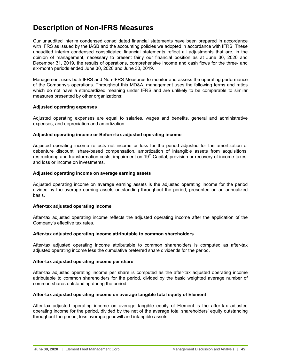## <span id="page-44-0"></span>**Description of Non-IFRS Measures**

Our unaudited interim condensed consolidated financial statements have been prepared in accordance with IFRS as issued by the IASB and the accounting policies we adopted in accordance with IFRS. These unaudited interim condensed consolidated financial statements reflect all adjustments that are, in the opinion of management, necessary to present fairly our financial position as at June 30, 2020 and December 31, 2019, the results of operations, comprehensive income and cash flows for the three- and six-month periods ended June 30, 2020 and June 30, 2019.

Management uses both IFRS and Non-IFRS Measures to monitor and assess the operating performance of the Company's operations. Throughout this MD&A, management uses the following terms and ratios which do not have a standardized meaning under IFRS and are unlikely to be comparable to similar measures presented by other organizations:

## **Adjusted operating expenses**

Adjusted operating expenses are equal to salaries, wages and benefits, general and administrative expenses, and depreciation and amortization.

## **Adjusted operating income or Before-tax adjusted operating income**

Adjusted operating income reflects net income or loss for the period adjusted for the amortization of debenture discount, share-based compensation, amortization of intangible assets from acquisitions, restructuring and transformation costs, impairment on 19<sup>th</sup> Capital, provision or recovery of income taxes, and loss or income on investments.

## **Adjusted operating income on average earning assets**

Adjusted operating income on average earning assets is the adjusted operating income for the period divided by the average earning assets outstanding throughout the period, presented on an annualized basis.

## **After-tax adjusted operating income**

After-tax adjusted operating income reflects the adjusted operating income after the application of the Company's effective tax rates.

## **After-tax adjusted operating income attributable to common shareholders**

After-tax adjusted operating income attributable to common shareholders is computed as after-tax adjusted operating income less the cumulative preferred share dividends for the period.

## **After-tax adjusted operating income per share**

After-tax adjusted operating income per share is computed as the after-tax adjusted operating income attributable to common shareholders for the period, divided by the basic weighted average number of common shares outstanding during the period.

## **After-tax adjusted operating income on average tangible total equity of Element**

After-tax adjusted operating income on average tangible equity of Element is the after-tax adjusted operating income for the period, divided by the net of the average total shareholders' equity outstanding throughout the period, less average goodwill and intangible assets.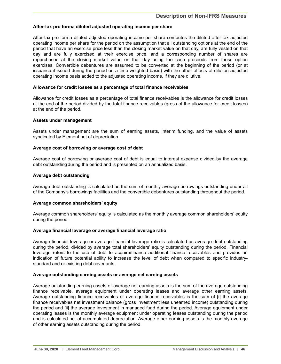## **After-tax pro forma diluted adjusted operating income per share**

After-tax pro forma diluted adjusted operating income per share computes the diluted after-tax adjusted operating income per share for the period on the assumption that all outstanding options at the end of the period that have an exercise price less than the closing market value on that day, are fully vested on that day and are fully exercised at their exercise price, and a corresponding number of shares are repurchased at the closing market value on that day using the cash proceeds from these option exercises. Convertible debentures are assumed to be converted at the beginning of the period (or at issuance if issued during the period on a time weighted basis) with the other effects of dilution adjusted operating income basis added to the adjusted operating income, if they are dilutive.

## **Allowance for credit losses as a percentage of total finance receivables**

Allowance for credit losses as a percentage of total finance receivables is the allowance for credit losses at the end of the period divided by the total finance receivables (gross of the allowance for credit losses) at the end of the period.

## **Assets under management**

Assets under management are the sum of earning assets, interim funding, and the value of assets syndicated by Element net of depreciation.

## **Average cost of borrowing or average cost of debt**

Average cost of borrowing or average cost of debt is equal to interest expense divided by the average debt outstanding during the period and is presented on an annualized basis.

#### **Average debt outstanding**

Average debt outstanding is calculated as the sum of monthly average borrowings outstanding under all of the Company's borrowings facilities and the convertible debentures outstanding throughout the period.

## **Average common shareholders' equity**

Average common shareholders' equity is calculated as the monthly average common shareholders' equity during the period.

#### **Average financial leverage or average financial leverage ratio**

Average financial leverage or average financial leverage ratio is calculated as average debt outstanding during the period, divided by average total shareholders' equity outstanding during the period. Financial leverage refers to the use of debt to acquire/finance additional finance receivables and provides an indication of future potential ability to increase the level of debt when compared to specific industrystandard and or existing debt covenants.

#### **Average outstanding earning assets or average net earning assets**

Average outstanding earning assets or average net earning assets is the sum of the average outstanding finance receivable, average equipment under operating leases and average other earning assets. Average outstanding finance receivables or average finance receivables is the sum of [i] the average finance receivables net investment balance (gross investment less unearned income) outstanding during the period and [ii] the average investment in managed fund during the period. Average equipment under operating leases is the monthly average equipment under operating leases outstanding during the period and is calculated net of accumulated depreciation. Average other earning assets is the monthly average of other earning assets outstanding during the period.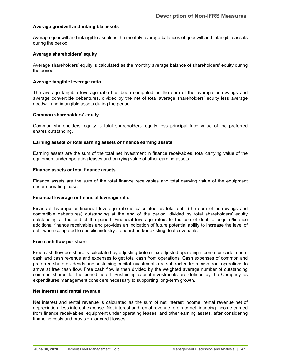## **Average goodwill and intangible assets**

Average goodwill and intangible assets is the monthly average balances of goodwill and intangible assets during the period.

## **Average shareholders' equity**

Average shareholders' equity is calculated as the monthly average balance of shareholders' equity during the period.

#### **Average tangible leverage ratio**

The average tangible leverage ratio has been computed as the sum of the average borrowings and average convertible debentures, divided by the net of total average shareholders' equity less average goodwill and intangible assets during the period.

#### **Common shareholders' equity**

Common shareholders' equity is total shareholders' equity less principal face value of the preferred shares outstanding.

#### **Earning assets or total earning assets or finance earning assets**

Earning assets are the sum of the total net investment in finance receivables, total carrying value of the equipment under operating leases and carrying value of other earning assets.

#### **Finance assets or total finance assets**

Finance assets are the sum of the total finance receivables and total carrying value of the equipment under operating leases.

#### **Financial leverage or financial leverage ratio**

Financial leverage or financial leverage ratio is calculated as total debt (the sum of borrowings and convertible debentures) outstanding at the end of the period, divided by total shareholders' equity outstanding at the end of the period. Financial leverage refers to the use of debt to acquire/finance additional finance receivables and provides an indication of future potential ability to increase the level of debt when compared to specific industry-standard and/or existing debt covenants.

#### **Free cash flow per share**

Free cash flow per share is calculated by adjusting before-tax adjusted operating income for certain noncash and cash revenue and expenses to get total cash from operations. Cash expenses of common and preferred share dividends and sustaining capital investments are subtracted from cash from operations to arrive at free cash flow. Free cash flow is then divided by the weighted average number of outstanding common shares for the period noted. Sustaining capital investments are defined by the Company as expenditures management considers necessary to supporting long-term growth.

### **Net interest and rental revenue**

Net interest and rental revenue is calculated as the sum of net interest income, rental revenue net of depreciation, less interest expense. Net interest and rental revenue refers to net financing income earned from finance receivables, equipment under operating leases, and other earning assets, after considering financing costs and provision for credit losses.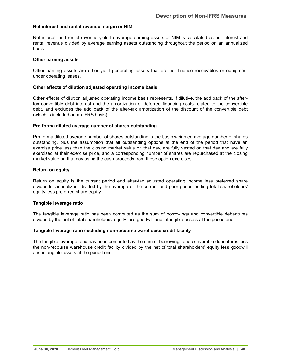## **Net interest and rental revenue margin or NIM**

Net interest and rental revenue yield to average earning assets or NIM is calculated as net interest and rental revenue divided by average earning assets outstanding throughout the period on an annualized basis.

#### **Other earning assets**

Other earning assets are other yield generating assets that are not finance receivables or equipment under operating leases.

#### **Other effects of dilution adjusted operating income basis**

Other effects of dilution adjusted operating income basis represents, if dilutive, the add back of the aftertax convertible debt interest and the amortization of deferred financing costs related to the convertible debt, and excludes the add back of the after-tax amortization of the discount of the convertible debt (which is included on an IFRS basis).

#### **Pro forma diluted average number of shares outstanding**

Pro forma diluted average number of shares outstanding is the basic weighted average number of shares outstanding, plus the assumption that all outstanding options at the end of the period that have an exercise price less than the closing market value on that day, are fully vested on that day and are fully exercised at their exercise price, and a corresponding number of shares are repurchased at the closing market value on that day using the cash proceeds from these option exercises.

#### **Return on equity**

Return on equity is the current period end after-tax adjusted operating income less preferred share dividends, annualized, divided by the average of the current and prior period ending total shareholders' equity less preferred share equity.

## **Tangible leverage ratio**

The tangible leverage ratio has been computed as the sum of borrowings and convertible debentures divided by the net of total shareholders' equity less goodwill and intangible assets at the period end.

#### **Tangible leverage ratio excluding non-recourse warehouse credit facility**

The tangible leverage ratio has been computed as the sum of borrowings and convertible debentures less the non-recourse warehouse credit facility divided by the net of total shareholders' equity less goodwill and intangible assets at the period end.